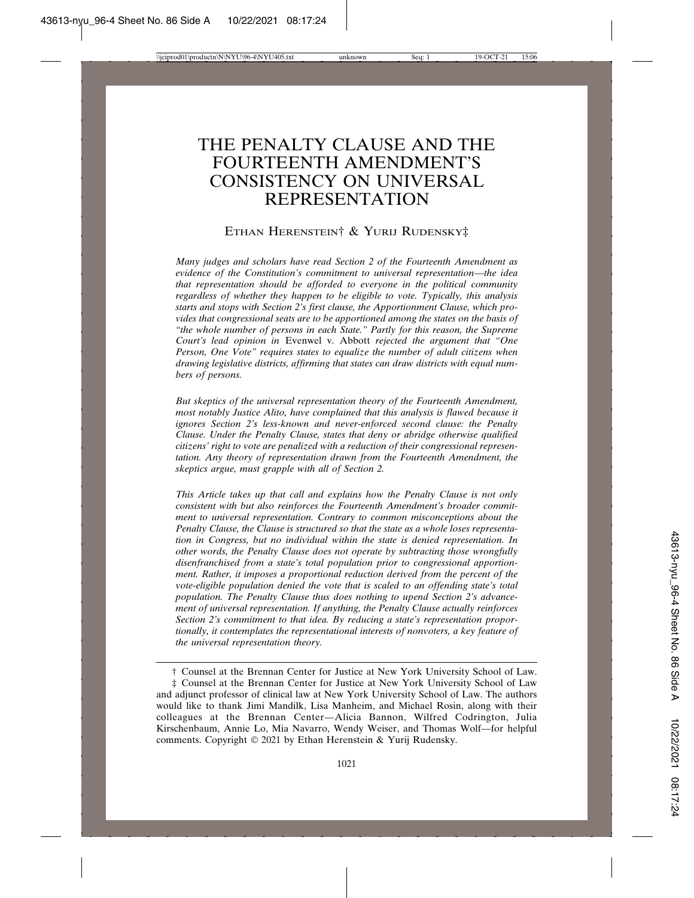# THE PENALTY CLAUSE AND THE FOURTEENTH AMENDMENT'S CONSISTENCY ON UNIVERSAL REPRESENTATION

#### ETHAN HERENSTEIN† & YURIJ RUDENSKY‡

*Many judges and scholars have read Section 2 of the Fourteenth Amendment as evidence of the Constitution's commitment to universal representation—the idea that representation should be afforded to everyone in the political community regardless of whether they happen to be eligible to vote. Typically, this analysis starts and stops with Section 2's first clause, the Apportionment Clause, which provides that congressional seats are to be apportioned among the states on the basis of "the whole number of persons in each State." Partly for this reason, the Supreme Court's lead opinion in* Evenwel v. Abbott *rejected the argument that "One Person, One Vote" requires states to equalize the number of adult citizens when drawing legislative districts, affirming that states can draw districts with equal numbers of persons.*

*But skeptics of the universal representation theory of the Fourteenth Amendment, most notably Justice Alito, have complained that this analysis is flawed because it ignores Section 2's less-known and never-enforced second clause: the Penalty Clause. Under the Penalty Clause, states that deny or abridge otherwise qualified citizens' right to vote are penalized with a reduction of their congressional representation. Any theory of representation drawn from the Fourteenth Amendment, the skeptics argue, must grapple with all of Section 2.*

*This Article takes up that call and explains how the Penalty Clause is not only consistent with but also reinforces the Fourteenth Amendment's broader commitment to universal representation. Contrary to common misconceptions about the Penalty Clause, the Clause is structured so that the state as a whole loses representation in Congress, but no individual within the state is denied representation. In other words, the Penalty Clause does not operate by subtracting those wrongfully disenfranchised from a state's total population prior to congressional apportionment. Rather, it imposes a proportional reduction derived from the percent of the vote-eligible population denied the vote that is scaled to an offending state's total population. The Penalty Clause thus does nothing to upend Section 2's advancement of universal representation. If anything, the Penalty Clause actually reinforces Section 2's commitment to that idea. By reducing a state's representation proportionally, it contemplates the representational interests of nonvoters, a key feature of the universal representation theory.*

‡ Counsel at the Brennan Center for Justice at New York University School of Law and adjunct professor of clinical law at New York University School of Law. The authors would like to thank Jimi Mandilk, Lisa Manheim, and Michael Rosin, along with their colleagues at the Brennan Center—Alicia Bannon, Wilfred Codrington, Julia Kirschenbaum, Annie Lo, Mia Navarro, Wendy Weiser, and Thomas Wolf—for helpful comments. Copyright © 2021 by Ethan Herenstein & Yurij Rudensky.

<sup>†</sup> Counsel at the Brennan Center for Justice at New York University School of Law.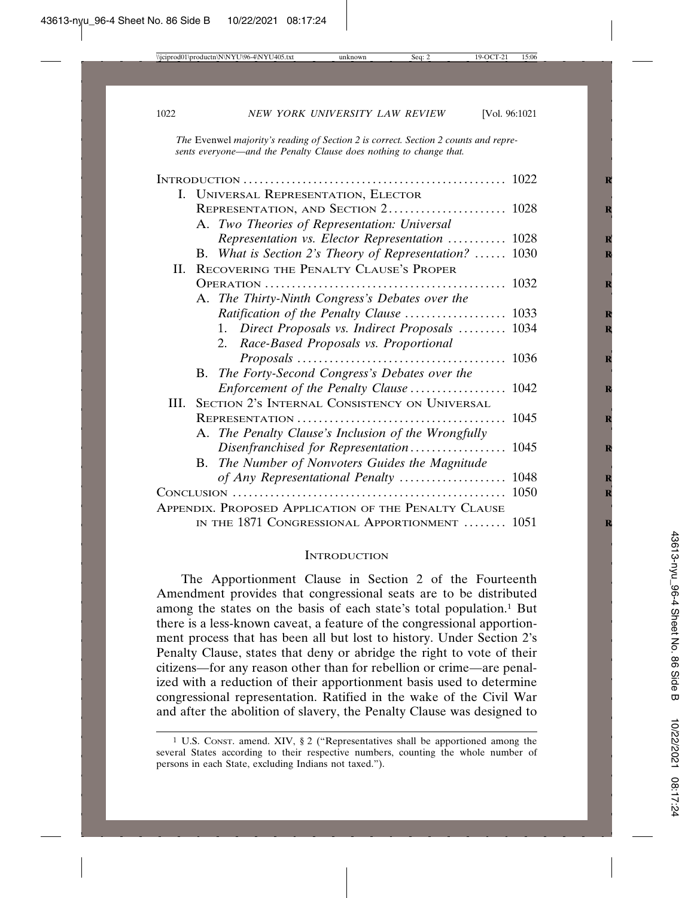*The* Evenwel *majority's reading of Section 2 is correct. Section 2 counts and represents everyone—and the Penalty Clause does nothing to change that.*

|  | I. UNIVERSAL REPRESENTATION, ELECTOR                                                                                                                              |  |
|--|-------------------------------------------------------------------------------------------------------------------------------------------------------------------|--|
|  |                                                                                                                                                                   |  |
|  | A. Two Theories of Representation: Universal                                                                                                                      |  |
|  | Representation vs. Elector Representation  1028                                                                                                                   |  |
|  | B. What is Section 2's Theory of Representation?  1030                                                                                                            |  |
|  | II. RECOVERING THE PENALTY CLAUSE'S PROPER                                                                                                                        |  |
|  |                                                                                                                                                                   |  |
|  | A. The Thirty-Ninth Congress's Debates over the                                                                                                                   |  |
|  |                                                                                                                                                                   |  |
|  | 1. Direct Proposals vs. Indirect Proposals  1034                                                                                                                  |  |
|  | 2. Race-Based Proposals vs. Proportional                                                                                                                          |  |
|  |                                                                                                                                                                   |  |
|  | B. The Forty-Second Congress's Debates over the                                                                                                                   |  |
|  | Enforcement of the Penalty Clause  1042                                                                                                                           |  |
|  | III. SECTION 2's INTERNAL CONSISTENCY ON UNIVERSAL                                                                                                                |  |
|  |                                                                                                                                                                   |  |
|  | A. The Penalty Clause's Inclusion of the Wrongfully                                                                                                               |  |
|  | Disenfranchised for Representation 1045                                                                                                                           |  |
|  | The Number of Nonvoters Guides the Magnitude<br>В.                                                                                                                |  |
|  | $Conv$ conclusion $\ldots$ $\ldots$ $\ldots$ $\ldots$ $\ldots$ $\ldots$ $\ldots$ $\ldots$ $\ldots$ $\ldots$ $\ldots$ $\ldots$ $\ldots$ $\ldots$ $\ldots$ $\ldots$ |  |
|  |                                                                                                                                                                   |  |
|  | APPENDIX. PROPOSED APPLICATION OF THE PENALTY CLAUSE                                                                                                              |  |
|  | IN THE 1871 CONGRESSIONAL APPORTIONMENT  1051                                                                                                                     |  |

#### **INTRODUCTION**

The Apportionment Clause in Section 2 of the Fourteenth Amendment provides that congressional seats are to be distributed among the states on the basis of each state's total population.<sup>1</sup> But there is a less-known caveat, a feature of the congressional apportionment process that has been all but lost to history. Under Section 2's Penalty Clause, states that deny or abridge the right to vote of their citizens—for any reason other than for rebellion or crime—are penalized with a reduction of their apportionment basis used to determine congressional representation. Ratified in the wake of the Civil War and after the abolition of slavery, the Penalty Clause was designed to

<sup>1</sup> U.S. CONST. amend. XIV, § 2 ("Representatives shall be apportioned among the several States according to their respective numbers, counting the whole number of persons in each State, excluding Indians not taxed.").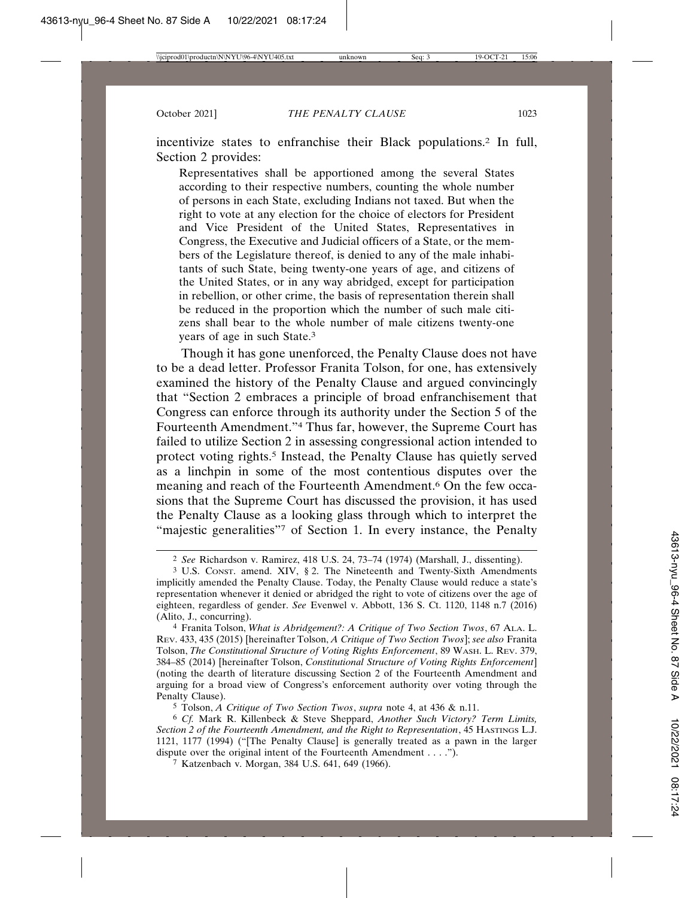incentivize states to enfranchise their Black populations.2 In full, Section 2 provides:

Representatives shall be apportioned among the several States according to their respective numbers, counting the whole number of persons in each State, excluding Indians not taxed. But when the right to vote at any election for the choice of electors for President and Vice President of the United States, Representatives in Congress, the Executive and Judicial officers of a State, or the members of the Legislature thereof, is denied to any of the male inhabitants of such State, being twenty-one years of age, and citizens of the United States, or in any way abridged, except for participation in rebellion, or other crime, the basis of representation therein shall be reduced in the proportion which the number of such male citizens shall bear to the whole number of male citizens twenty-one years of age in such State.3

Though it has gone unenforced, the Penalty Clause does not have to be a dead letter. Professor Franita Tolson, for one, has extensively examined the history of the Penalty Clause and argued convincingly that "Section 2 embraces a principle of broad enfranchisement that Congress can enforce through its authority under the Section 5 of the Fourteenth Amendment."4 Thus far, however, the Supreme Court has failed to utilize Section 2 in assessing congressional action intended to protect voting rights.<sup>5</sup> Instead, the Penalty Clause has quietly served as a linchpin in some of the most contentious disputes over the meaning and reach of the Fourteenth Amendment.6 On the few occasions that the Supreme Court has discussed the provision, it has used the Penalty Clause as a looking glass through which to interpret the "majestic generalities"7 of Section 1. In every instance, the Penalty

5 Tolson, *A Critique of Two Section Twos*, *supra* note 4, at 436 & n.11.

6 *Cf.* Mark R. Killenbeck & Steve Sheppard, *Another Such Victory? Term Limits, Section 2 of the Fourteenth Amendment, and the Right to Representation*, 45 HASTINGS L.J. 1121, 1177 (1994) ("[The Penalty Clause] is generally treated as a pawn in the larger dispute over the original intent of the Fourteenth Amendment . . . .").

7 Katzenbach v. Morgan, 384 U.S. 641, 649 (1966).

<sup>2</sup> *See* Richardson v. Ramirez, 418 U.S. 24, 73–74 (1974) (Marshall, J., dissenting).

<sup>3</sup> U.S. CONST. amend. XIV, § 2. The Nineteenth and Twenty-Sixth Amendments implicitly amended the Penalty Clause. Today, the Penalty Clause would reduce a state's representation whenever it denied or abridged the right to vote of citizens over the age of eighteen, regardless of gender. *See* Evenwel v. Abbott, 136 S. Ct. 1120, 1148 n.7 (2016) (Alito, J., concurring).

<sup>4</sup> Franita Tolson, *What is Abridgement?: A Critique of Two Section Twos*, 67 ALA. L. REV. 433, 435 (2015) [hereinafter Tolson, *A Critique of Two Section Twos*]; *see also* Franita Tolson, *The Constitutional Structure of Voting Rights Enforcement*, 89 WASH. L. REV. 379, 384–85 (2014) [hereinafter Tolson, *Constitutional Structure of Voting Rights Enforcement*] (noting the dearth of literature discussing Section 2 of the Fourteenth Amendment and arguing for a broad view of Congress's enforcement authority over voting through the Penalty Clause).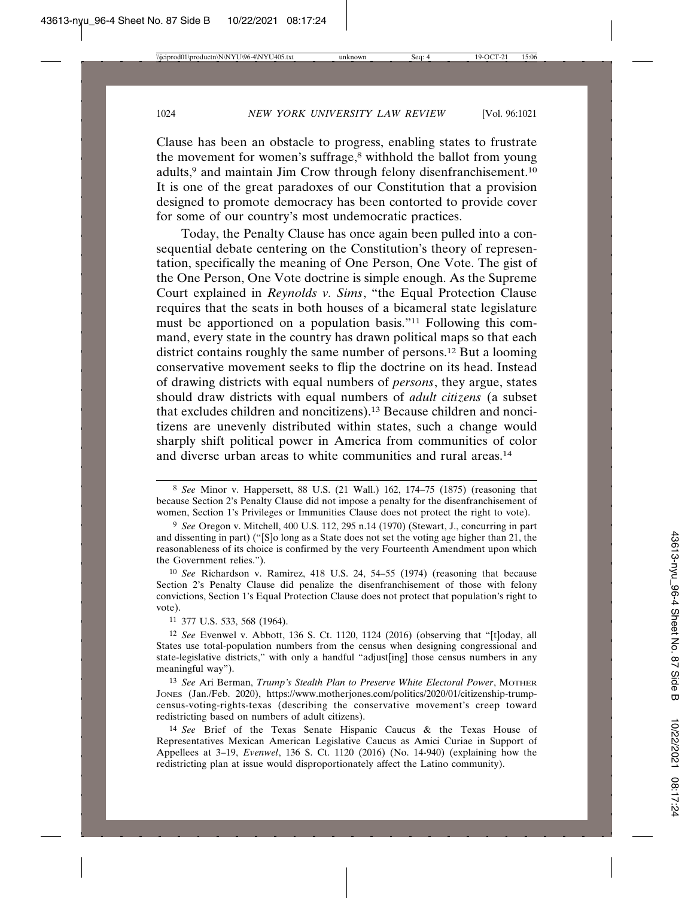Clause has been an obstacle to progress, enabling states to frustrate the movement for women's suffrage,<sup>8</sup> withhold the ballot from young adults,<sup>9</sup> and maintain Jim Crow through felony disenfranchisement.<sup>10</sup> It is one of the great paradoxes of our Constitution that a provision designed to promote democracy has been contorted to provide cover for some of our country's most undemocratic practices.

Today, the Penalty Clause has once again been pulled into a consequential debate centering on the Constitution's theory of representation, specifically the meaning of One Person, One Vote. The gist of the One Person, One Vote doctrine is simple enough. As the Supreme Court explained in *Reynolds v. Sims*, "the Equal Protection Clause requires that the seats in both houses of a bicameral state legislature must be apportioned on a population basis."11 Following this command, every state in the country has drawn political maps so that each district contains roughly the same number of persons.12 But a looming conservative movement seeks to flip the doctrine on its head. Instead of drawing districts with equal numbers of *persons*, they argue, states should draw districts with equal numbers of *adult citizens* (a subset that excludes children and noncitizens).13 Because children and noncitizens are unevenly distributed within states, such a change would sharply shift political power in America from communities of color and diverse urban areas to white communities and rural areas.14

10 *See* Richardson v. Ramirez, 418 U.S. 24, 54–55 (1974) (reasoning that because Section 2's Penalty Clause did penalize the disenfranchisement of those with felony convictions, Section 1's Equal Protection Clause does not protect that population's right to vote).

11 377 U.S. 533, 568 (1964).

<sup>8</sup> *See* Minor v. Happersett, 88 U.S. (21 Wall.) 162, 174–75 (1875) (reasoning that because Section 2's Penalty Clause did not impose a penalty for the disenfranchisement of women, Section 1's Privileges or Immunities Clause does not protect the right to vote).

<sup>9</sup> *See* Oregon v. Mitchell, 400 U.S. 112, 295 n.14 (1970) (Stewart, J., concurring in part and dissenting in part) ("[S]o long as a State does not set the voting age higher than 21, the reasonableness of its choice is confirmed by the very Fourteenth Amendment upon which the Government relies.").

<sup>12</sup> *See* Evenwel v. Abbott, 136 S. Ct. 1120, 1124 (2016) (observing that "[t]oday, all States use total-population numbers from the census when designing congressional and state-legislative districts," with only a handful "adjust[ing] those census numbers in any meaningful way").

<sup>13</sup> *See* Ari Berman, *Trump's Stealth Plan to Preserve White Electoral Power*, MOTHER JONES (Jan./Feb. 2020), https://www.motherjones.com/politics/2020/01/citizenship-trumpcensus-voting-rights-texas (describing the conservative movement's creep toward redistricting based on numbers of adult citizens).

<sup>14</sup> *See* Brief of the Texas Senate Hispanic Caucus & the Texas House of Representatives Mexican American Legislative Caucus as Amici Curiae in Support of Appellees at 3–19, *Evenwel*, 136 S. Ct. 1120 (2016) (No. 14-940) (explaining how the redistricting plan at issue would disproportionately affect the Latino community).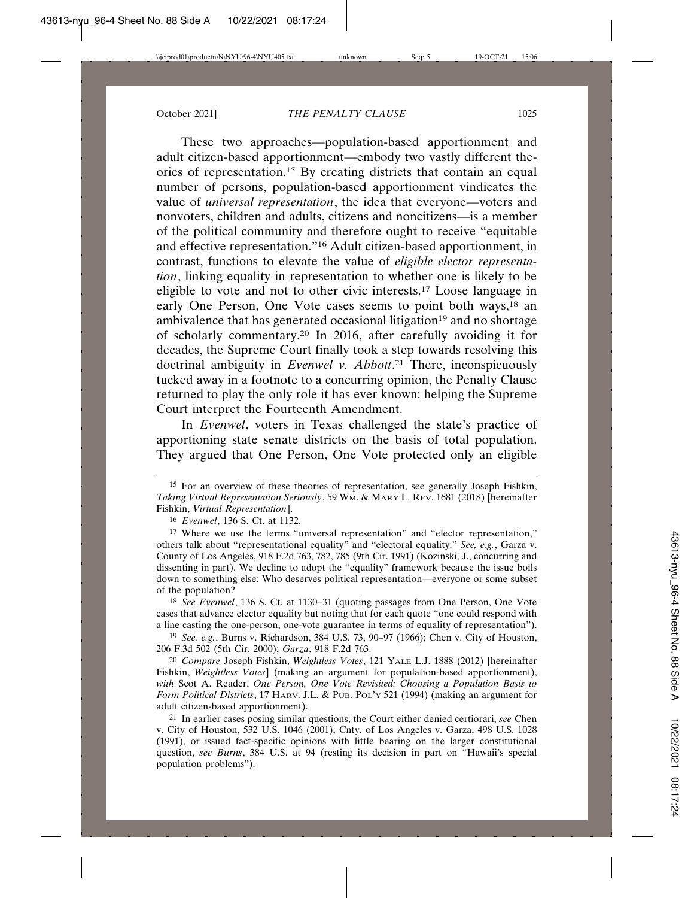These two approaches—population-based apportionment and adult citizen-based apportionment—embody two vastly different theories of representation.15 By creating districts that contain an equal number of persons, population-based apportionment vindicates the value of *universal representation*, the idea that everyone—voters and nonvoters, children and adults, citizens and noncitizens—is a member of the political community and therefore ought to receive "equitable and effective representation."16 Adult citizen-based apportionment, in contrast, functions to elevate the value of *eligible elector representation*, linking equality in representation to whether one is likely to be eligible to vote and not to other civic interests.17 Loose language in early One Person, One Vote cases seems to point both ways,<sup>18</sup> an ambivalence that has generated occasional litigation<sup>19</sup> and no shortage of scholarly commentary.20 In 2016, after carefully avoiding it for decades, the Supreme Court finally took a step towards resolving this doctrinal ambiguity in *Evenwel v. Abbott*. 21 There, inconspicuously tucked away in a footnote to a concurring opinion, the Penalty Clause returned to play the only role it has ever known: helping the Supreme Court interpret the Fourteenth Amendment.

In *Evenwel*, voters in Texas challenged the state's practice of apportioning state senate districts on the basis of total population. They argued that One Person, One Vote protected only an eligible

18 *See Evenwel*, 136 S. Ct. at 1130–31 (quoting passages from One Person, One Vote cases that advance elector equality but noting that for each quote "one could respond with a line casting the one-person, one-vote guarantee in terms of equality of representation").

19 *See, e.g.*, Burns v. Richardson, 384 U.S. 73, 90–97 (1966); Chen v. City of Houston, 206 F.3d 502 (5th Cir. 2000); *Garza*, 918 F.2d 763.

20 *Compare* Joseph Fishkin, *Weightless Votes*, 121 YALE L.J. 1888 (2012) [hereinafter Fishkin, *Weightless Votes*] (making an argument for population-based apportionment), *with* Scot A. Reader, *One Person, One Vote Revisited: Choosing a Population Basis to Form Political Districts*, 17 HARV. J.L. & PUB. POL'Y 521 (1994) (making an argument for adult citizen-based apportionment).

21 In earlier cases posing similar questions, the Court either denied certiorari, *see* Chen v. City of Houston, 532 U.S. 1046 (2001); Cnty. of Los Angeles v. Garza, 498 U.S. 1028 (1991), or issued fact-specific opinions with little bearing on the larger constitutional question, *see Burns*, 384 U.S. at 94 (resting its decision in part on "Hawaii's special population problems").

<sup>15</sup> For an overview of these theories of representation, see generally Joseph Fishkin, *Taking Virtual Representation Seriously*, 59 WM. & MARY L. REV. 1681 (2018) [hereinafter Fishkin, *Virtual Representation*].

<sup>16</sup> *Evenwel*, 136 S. Ct. at 1132.

<sup>17</sup> Where we use the terms "universal representation" and "elector representation," others talk about "representational equality" and "electoral equality." *See, e.g.*, Garza v. County of Los Angeles, 918 F.2d 763, 782, 785 (9th Cir. 1991) (Kozinski, J., concurring and dissenting in part). We decline to adopt the "equality" framework because the issue boils down to something else: Who deserves political representation—everyone or some subset of the population?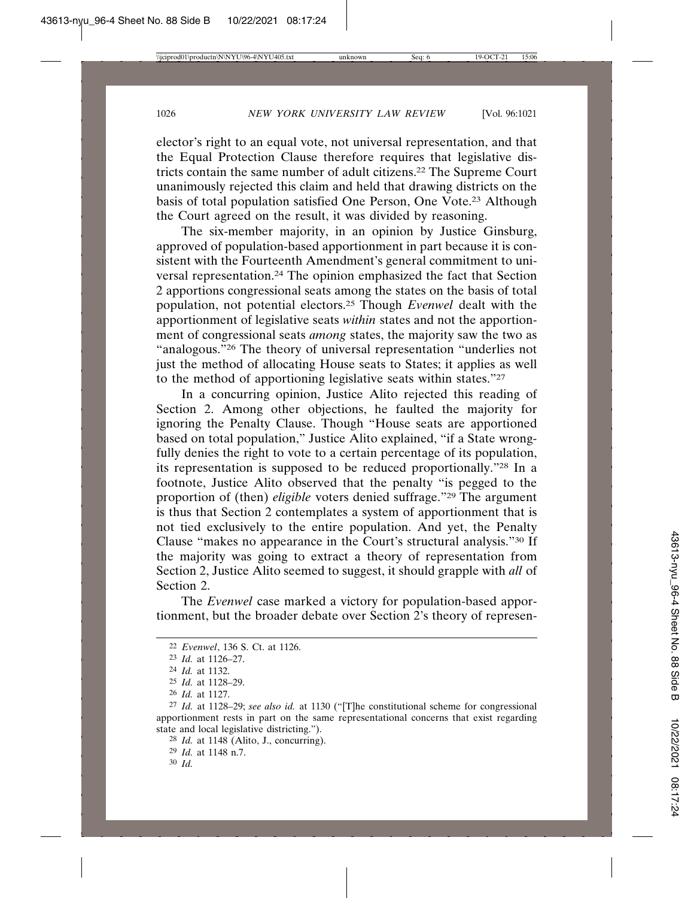elector's right to an equal vote, not universal representation, and that the Equal Protection Clause therefore requires that legislative districts contain the same number of adult citizens.22 The Supreme Court unanimously rejected this claim and held that drawing districts on the basis of total population satisfied One Person, One Vote.23 Although the Court agreed on the result, it was divided by reasoning.

The six-member majority, in an opinion by Justice Ginsburg, approved of population-based apportionment in part because it is consistent with the Fourteenth Amendment's general commitment to universal representation.24 The opinion emphasized the fact that Section 2 apportions congressional seats among the states on the basis of total population, not potential electors.25 Though *Evenwel* dealt with the apportionment of legislative seats *within* states and not the apportionment of congressional seats *among* states, the majority saw the two as "analogous."<sup>26</sup> The theory of universal representation "underlies not just the method of allocating House seats to States; it applies as well to the method of apportioning legislative seats within states."27

In a concurring opinion, Justice Alito rejected this reading of Section 2. Among other objections, he faulted the majority for ignoring the Penalty Clause. Though "House seats are apportioned based on total population," Justice Alito explained, "if a State wrongfully denies the right to vote to a certain percentage of its population, its representation is supposed to be reduced proportionally."28 In a footnote, Justice Alito observed that the penalty "is pegged to the proportion of (then) *eligible* voters denied suffrage."29 The argument is thus that Section 2 contemplates a system of apportionment that is not tied exclusively to the entire population. And yet, the Penalty Clause "makes no appearance in the Court's structural analysis."30 If the majority was going to extract a theory of representation from Section 2, Justice Alito seemed to suggest, it should grapple with *all* of Section 2.

The *Evenwel* case marked a victory for population-based apportionment, but the broader debate over Section 2's theory of represen-

28 *Id.* at 1148 (Alito, J., concurring).

29 *Id.* at 1148 n.7.

30 *Id.*

<sup>22</sup> *Evenwel*, 136 S. Ct. at 1126.

<sup>23</sup> *Id.* at 1126–27.

<sup>24</sup> *Id.* at 1132.

<sup>25</sup> *Id.* at 1128–29.

<sup>26</sup> *Id.* at 1127.

<sup>27</sup> *Id.* at 1128–29; *see also id.* at 1130 ("[T]he constitutional scheme for congressional apportionment rests in part on the same representational concerns that exist regarding state and local legislative districting.").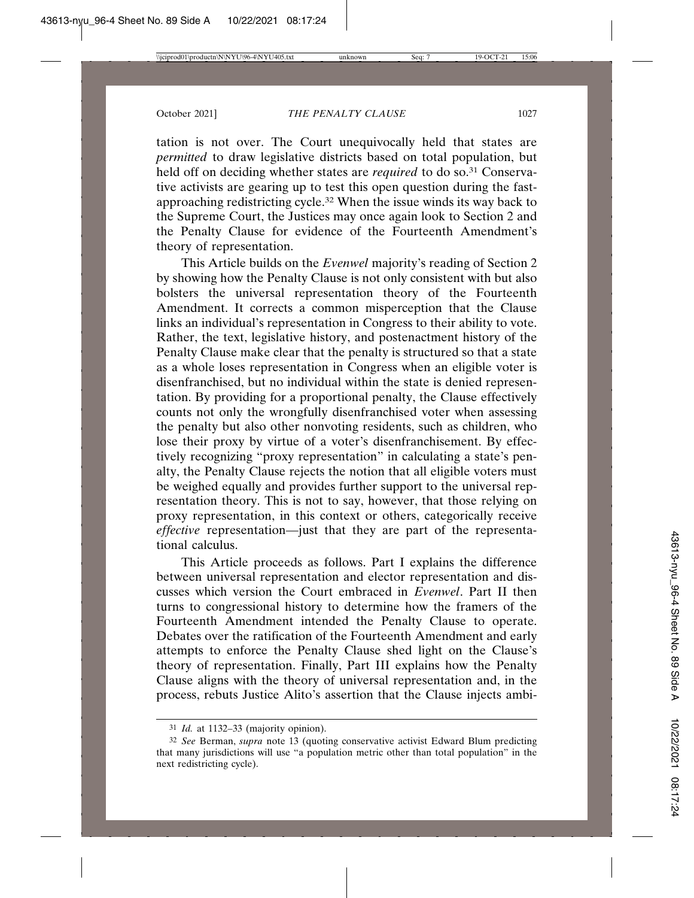tation is not over. The Court unequivocally held that states are *permitted* to draw legislative districts based on total population, but held off on deciding whether states are *required* to do so.<sup>31</sup> Conservative activists are gearing up to test this open question during the fastapproaching redistricting cycle.32 When the issue winds its way back to the Supreme Court, the Justices may once again look to Section 2 and the Penalty Clause for evidence of the Fourteenth Amendment's theory of representation.

This Article builds on the *Evenwel* majority's reading of Section 2 by showing how the Penalty Clause is not only consistent with but also bolsters the universal representation theory of the Fourteenth Amendment. It corrects a common misperception that the Clause links an individual's representation in Congress to their ability to vote. Rather, the text, legislative history, and postenactment history of the Penalty Clause make clear that the penalty is structured so that a state as a whole loses representation in Congress when an eligible voter is disenfranchised, but no individual within the state is denied representation. By providing for a proportional penalty, the Clause effectively counts not only the wrongfully disenfranchised voter when assessing the penalty but also other nonvoting residents, such as children, who lose their proxy by virtue of a voter's disenfranchisement. By effectively recognizing "proxy representation" in calculating a state's penalty, the Penalty Clause rejects the notion that all eligible voters must be weighed equally and provides further support to the universal representation theory. This is not to say, however, that those relying on proxy representation, in this context or others, categorically receive *effective* representation—just that they are part of the representational calculus.

This Article proceeds as follows. Part I explains the difference between universal representation and elector representation and discusses which version the Court embraced in *Evenwel*. Part II then turns to congressional history to determine how the framers of the Fourteenth Amendment intended the Penalty Clause to operate. Debates over the ratification of the Fourteenth Amendment and early attempts to enforce the Penalty Clause shed light on the Clause's theory of representation. Finally, Part III explains how the Penalty Clause aligns with the theory of universal representation and, in the process, rebuts Justice Alito's assertion that the Clause injects ambi-

<sup>31</sup> *Id.* at 1132–33 (majority opinion).

<sup>32</sup> *See* Berman, *supra* note 13 (quoting conservative activist Edward Blum predicting that many jurisdictions will use "a population metric other than total population" in the next redistricting cycle).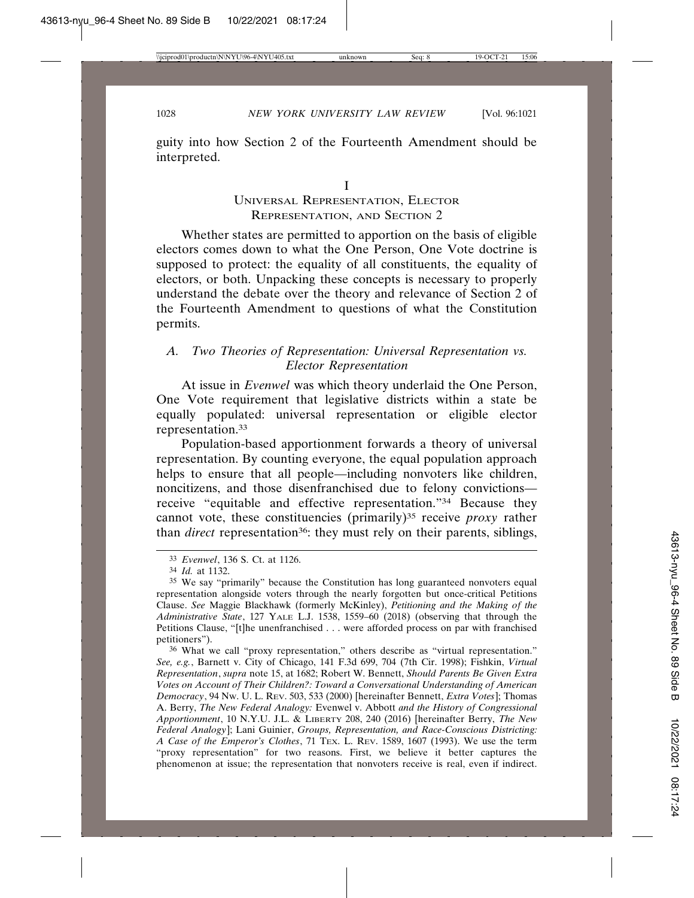guity into how Section 2 of the Fourteenth Amendment should be interpreted.

## UNIVERSAL REPRESENTATION, ELECTOR REPRESENTATION, AND SECTION 2

Whether states are permitted to apportion on the basis of eligible electors comes down to what the One Person, One Vote doctrine is supposed to protect: the equality of all constituents, the equality of electors, or both. Unpacking these concepts is necessary to properly understand the debate over the theory and relevance of Section 2 of the Fourteenth Amendment to questions of what the Constitution permits.

## *A. Two Theories of Representation: Universal Representation vs. Elector Representation*

At issue in *Evenwel* was which theory underlaid the One Person, One Vote requirement that legislative districts within a state be equally populated: universal representation or eligible elector representation.33

Population-based apportionment forwards a theory of universal representation. By counting everyone, the equal population approach helps to ensure that all people—including nonvoters like children, noncitizens, and those disenfranchised due to felony convictions receive "equitable and effective representation."34 Because they cannot vote, these constituencies (primarily)<sup>35</sup> receive *proxy* rather than *direct* representation<sup>36</sup>: they must rely on their parents, siblings,

<sup>33</sup> *Evenwel*, 136 S. Ct. at 1126.

<sup>34</sup> *Id.* at 1132.

<sup>35</sup> We say "primarily" because the Constitution has long guaranteed nonvoters equal representation alongside voters through the nearly forgotten but once-critical Petitions Clause. *See* Maggie Blackhawk (formerly McKinley), *Petitioning and the Making of the Administrative State*, 127 YALE L.J. 1538, 1559–60 (2018) (observing that through the Petitions Clause, "[t]he unenfranchised . . . were afforded process on par with franchised petitioners").

<sup>36</sup> What we call "proxy representation," others describe as "virtual representation." *See, e.g.*, Barnett v. City of Chicago, 141 F.3d 699, 704 (7th Cir. 1998); Fishkin, *Virtual Representation*, *supra* note 15, at 1682; Robert W. Bennett, *Should Parents Be Given Extra Votes on Account of Their Children?: Toward a Conversational Understanding of American Democracy*, 94 NW. U. L. REV. 503, 533 (2000) [hereinafter Bennett, *Extra Votes*]; Thomas A. Berry, *The New Federal Analogy:* Evenwel v. Abbott *and the History of Congressional Apportionment*, 10 N.Y.U. J.L. & LIBERTY 208, 240 (2016) [hereinafter Berry, *The New Federal Analogy*]; Lani Guinier, *Groups, Representation, and Race-Conscious Districting: A Case of the Emperor's Clothes*, 71 TEX. L. REV. 1589, 1607 (1993). We use the term "proxy representation" for two reasons. First, we believe it better captures the phenomenon at issue; the representation that nonvoters receive is real, even if indirect.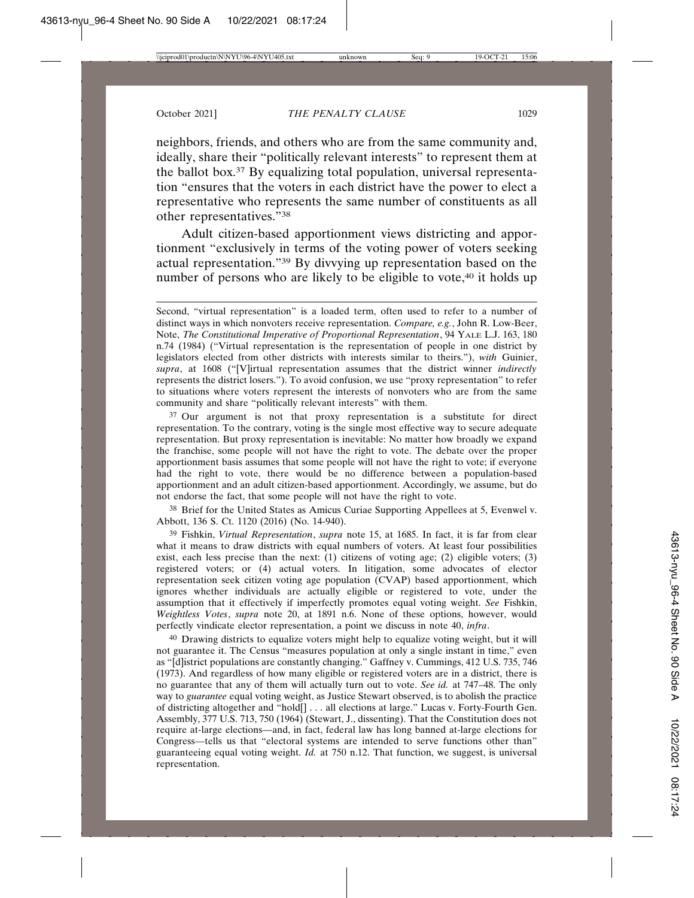neighbors, friends, and others who are from the same community and, ideally, share their "politically relevant interests" to represent them at the ballot box.37 By equalizing total population, universal representation "ensures that the voters in each district have the power to elect a representative who represents the same number of constituents as all other representatives."38

Adult citizen-based apportionment views districting and apportionment "exclusively in terms of the voting power of voters seeking actual representation."39 By divvying up representation based on the number of persons who are likely to be eligible to vote,<sup>40</sup> it holds up

<sup>37</sup> Our argument is not that proxy representation is a substitute for direct representation. To the contrary, voting is the single most effective way to secure adequate representation. But proxy representation is inevitable: No matter how broadly we expand the franchise, some people will not have the right to vote. The debate over the proper apportionment basis assumes that some people will not have the right to vote; if everyone had the right to vote, there would be no difference between a population-based apportionment and an adult citizen-based apportionment. Accordingly, we assume, but do not endorse the fact, that some people will not have the right to vote.

38 Brief for the United States as Amicus Curiae Supporting Appellees at 5, Evenwel v. Abbott, 136 S. Ct. 1120 (2016) (No. 14-940).

39 Fishkin, *Virtual Representation*, *supra* note 15, at 1685. In fact, it is far from clear what it means to draw districts with equal numbers of voters. At least four possibilities exist, each less precise than the next: (1) citizens of voting age; (2) eligible voters; (3) registered voters; or (4) actual voters. In litigation, some advocates of elector representation seek citizen voting age population (CVAP) based apportionment, which ignores whether individuals are actually eligible or registered to vote, under the assumption that it effectively if imperfectly promotes equal voting weight. *See* Fishkin, *Weightless Votes*, *supra* note 20, at 1891 n.6. None of these options, however, would perfectly vindicate elector representation, a point we discuss in note 40, *infra*.

40 Drawing districts to equalize voters might help to equalize voting weight, but it will not guarantee it. The Census "measures population at only a single instant in time," even as "[d]istrict populations are constantly changing." Gaffney v. Cummings, 412 U.S. 735, 746 (1973). And regardless of how many eligible or registered voters are in a district, there is no guarantee that any of them will actually turn out to vote. *See id.* at 747–48. The only way to *guarantee* equal voting weight, as Justice Stewart observed, is to abolish the practice of districting altogether and "hold[] . . . all elections at large." Lucas v. Forty-Fourth Gen. Assembly, 377 U.S. 713, 750 (1964) (Stewart, J., dissenting). That the Constitution does not require at-large elections—and, in fact, federal law has long banned at-large elections for Congress—tells us that "electoral systems are intended to serve functions other than" guaranteeing equal voting weight. *Id.* at 750 n.12. That function, we suggest, is universal representation.

Second, "virtual representation" is a loaded term, often used to refer to a number of distinct ways in which nonvoters receive representation. *Compare, e.g.*, John R. Low-Beer, Note, *The Constitutional Imperative of Proportional Representation*, 94 YALE L.J. 163, 180 n.74 (1984) ("Virtual representation is the representation of people in one district by legislators elected from other districts with interests similar to theirs."), *with* Guinier, *supra*, at 1608 ("[V]irtual representation assumes that the district winner *indirectly* represents the district losers."). To avoid confusion, we use "proxy representation" to refer to situations where voters represent the interests of nonvoters who are from the same community and share "politically relevant interests" with them.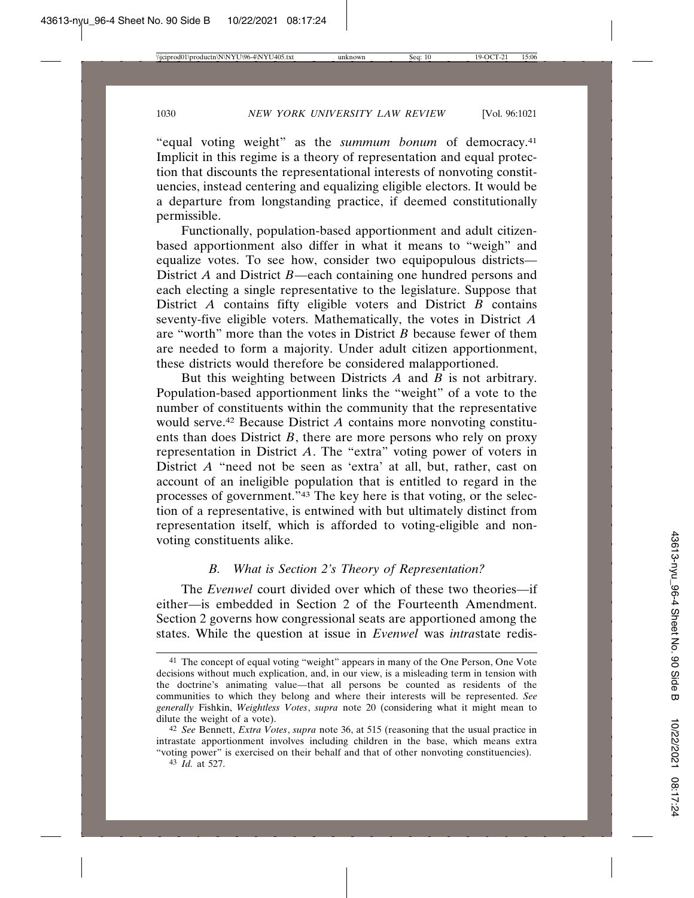"equal voting weight" as the *summum bonum* of democracy.41 Implicit in this regime is a theory of representation and equal protection that discounts the representational interests of nonvoting constituencies, instead centering and equalizing eligible electors. It would be a departure from longstanding practice, if deemed constitutionally permissible.

Functionally, population-based apportionment and adult citizenbased apportionment also differ in what it means to "weigh" and equalize votes. To see how, consider two equipopulous districts— District *A* and District *B*—each containing one hundred persons and each electing a single representative to the legislature. Suppose that District *A* contains fifty eligible voters and District *B* contains seventy-five eligible voters. Mathematically, the votes in District *A* are "worth" more than the votes in District *B* because fewer of them are needed to form a majority. Under adult citizen apportionment, these districts would therefore be considered malapportioned.

But this weighting between Districts *A* and *B* is not arbitrary. Population-based apportionment links the "weight" of a vote to the number of constituents within the community that the representative would serve.42 Because District *A* contains more nonvoting constituents than does District *B*, there are more persons who rely on proxy representation in District *A*. The "extra" voting power of voters in District *A* "need not be seen as 'extra' at all, but, rather, cast on account of an ineligible population that is entitled to regard in the processes of government."43 The key here is that voting, or the selection of a representative, is entwined with but ultimately distinct from representation itself, which is afforded to voting-eligible and nonvoting constituents alike.

## *B. What is Section 2's Theory of Representation?*

The *Evenwel* court divided over which of these two theories—if either—is embedded in Section 2 of the Fourteenth Amendment. Section 2 governs how congressional seats are apportioned among the states. While the question at issue in *Evenwel* was *intra*state redis-

<sup>41</sup> The concept of equal voting "weight" appears in many of the One Person, One Vote decisions without much explication, and, in our view, is a misleading term in tension with the doctrine's animating value—that all persons be counted as residents of the communities to which they belong and where their interests will be represented. *See generally* Fishkin, *Weightless Votes*, *supra* note 20 (considering what it might mean to dilute the weight of a vote).

<sup>42</sup> *See* Bennett, *Extra Votes*, *supra* note 36, at 515 (reasoning that the usual practice in intrastate apportionment involves including children in the base, which means extra "voting power" is exercised on their behalf and that of other nonvoting constituencies).

<sup>43</sup> *Id.* at 527.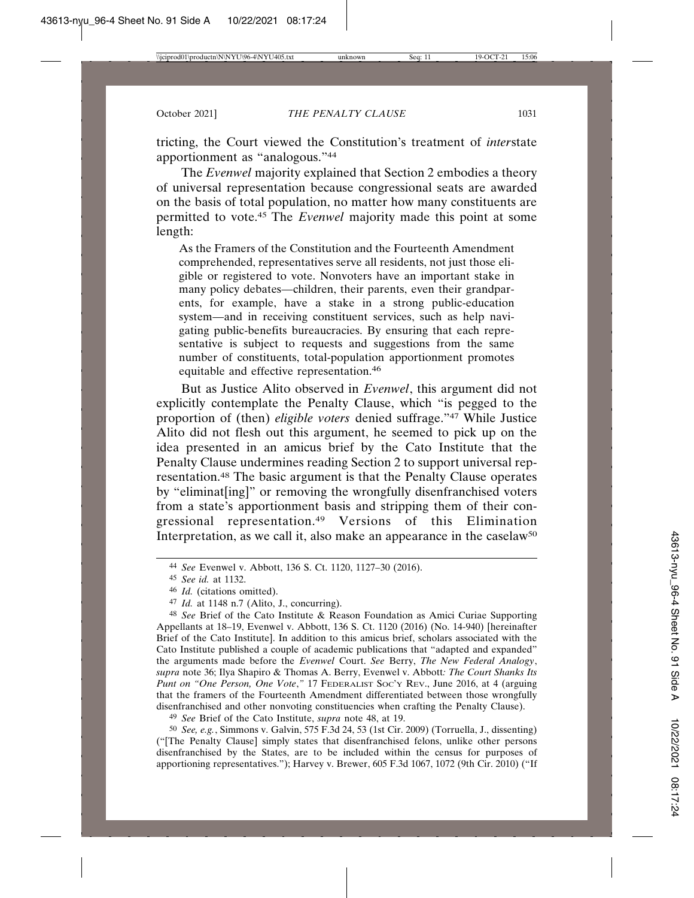tricting, the Court viewed the Constitution's treatment of *inter*state apportionment as "analogous."44

The *Evenwel* majority explained that Section 2 embodies a theory of universal representation because congressional seats are awarded on the basis of total population, no matter how many constituents are permitted to vote.45 The *Evenwel* majority made this point at some length:

As the Framers of the Constitution and the Fourteenth Amendment comprehended, representatives serve all residents, not just those eligible or registered to vote. Nonvoters have an important stake in many policy debates—children, their parents, even their grandparents, for example, have a stake in a strong public-education system—and in receiving constituent services, such as help navigating public-benefits bureaucracies. By ensuring that each representative is subject to requests and suggestions from the same number of constituents, total-population apportionment promotes equitable and effective representation.46

But as Justice Alito observed in *Evenwel*, this argument did not explicitly contemplate the Penalty Clause, which "is pegged to the proportion of (then) *eligible voters* denied suffrage."47 While Justice Alito did not flesh out this argument, he seemed to pick up on the idea presented in an amicus brief by the Cato Institute that the Penalty Clause undermines reading Section 2 to support universal representation.48 The basic argument is that the Penalty Clause operates by "eliminat[ing]" or removing the wrongfully disenfranchised voters from a state's apportionment basis and stripping them of their congressional representation.49 Versions of this Elimination Interpretation, as we call it, also make an appearance in the caselaw<sup>50</sup>

48 *See* Brief of the Cato Institute & Reason Foundation as Amici Curiae Supporting Appellants at 18–19, Evenwel v. Abbott, 136 S. Ct. 1120 (2016) (No. 14-940) [hereinafter Brief of the Cato Institute]. In addition to this amicus brief, scholars associated with the Cato Institute published a couple of academic publications that "adapted and expanded" the arguments made before the *Evenwel* Court. *See* Berry, *The New Federal Analogy*, *supra* note 36; Ilya Shapiro & Thomas A. Berry, Evenwel v. Abbott*: The Court Shanks Its Punt on "One Person, One Vote*,*"* 17 FEDERALIST SOC'Y REV., June 2016, at 4 (arguing that the framers of the Fourteenth Amendment differentiated between those wrongfully disenfranchised and other nonvoting constituencies when crafting the Penalty Clause).

49 *See* Brief of the Cato Institute, *supra* note 48, at 19.

50 *See, e.g.*, Simmons v. Galvin, 575 F.3d 24, 53 (1st Cir. 2009) (Torruella, J., dissenting) ("[The Penalty Clause] simply states that disenfranchised felons, unlike other persons disenfranchised by the States, are to be included within the census for purposes of apportioning representatives."); Harvey v. Brewer, 605 F.3d 1067, 1072 (9th Cir. 2010) ("If

<sup>44</sup> *See* Evenwel v. Abbott, 136 S. Ct. 1120, 1127–30 (2016).

<sup>45</sup> *See id.* at 1132.

<sup>46</sup> *Id.* (citations omitted).

<sup>47</sup> *Id.* at 1148 n.7 (Alito, J., concurring).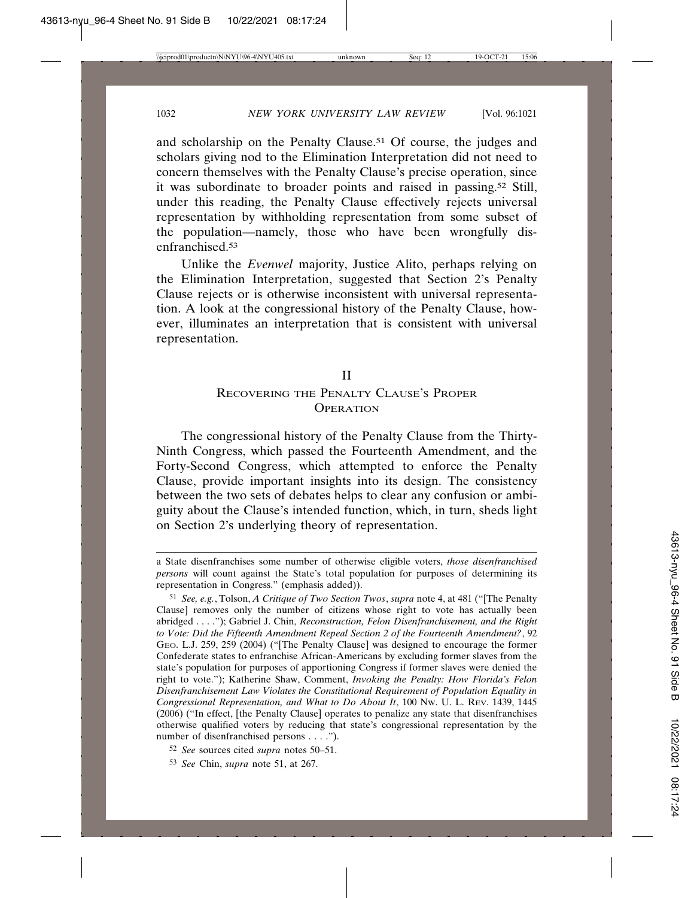and scholarship on the Penalty Clause.<sup>51</sup> Of course, the judges and scholars giving nod to the Elimination Interpretation did not need to concern themselves with the Penalty Clause's precise operation, since it was subordinate to broader points and raised in passing.52 Still, under this reading, the Penalty Clause effectively rejects universal representation by withholding representation from some subset of the population—namely, those who have been wrongfully disenfranchised<sup>53</sup>

Unlike the *Evenwel* majority, Justice Alito, perhaps relying on the Elimination Interpretation, suggested that Section 2's Penalty Clause rejects or is otherwise inconsistent with universal representation. A look at the congressional history of the Penalty Clause, however, illuminates an interpretation that is consistent with universal representation.

#### II

## RECOVERING THE PENALTY CLAUSE'S PROPER **OPERATION**

The congressional history of the Penalty Clause from the Thirty-Ninth Congress, which passed the Fourteenth Amendment, and the Forty-Second Congress, which attempted to enforce the Penalty Clause, provide important insights into its design. The consistency between the two sets of debates helps to clear any confusion or ambiguity about the Clause's intended function, which, in turn, sheds light on Section 2's underlying theory of representation.

a State disenfranchises some number of otherwise eligible voters, *those disenfranchised persons* will count against the State's total population for purposes of determining its representation in Congress." (emphasis added)).

<sup>51</sup> *See, e.g.*, Tolson, *A Critique of Two Section Twos*, *supra* note 4, at 481 ("[The Penalty Clause] removes only the number of citizens whose right to vote has actually been abridged . . . ."); Gabriel J. Chin, *Reconstruction, Felon Disenfranchisement, and the Right to Vote: Did the Fifteenth Amendment Repeal Section 2 of the Fourteenth Amendment?*, 92 GEO. L.J. 259, 259 (2004) ("[The Penalty Clause] was designed to encourage the former Confederate states to enfranchise African-Americans by excluding former slaves from the state's population for purposes of apportioning Congress if former slaves were denied the right to vote."); Katherine Shaw, Comment, *Invoking the Penalty: How Florida's Felon Disenfranchisement Law Violates the Constitutional Requirement of Population Equality in Congressional Representation, and What to Do About It*, 100 NW. U. L. REV. 1439, 1445 (2006) ("In effect, [the Penalty Clause] operates to penalize any state that disenfranchises otherwise qualified voters by reducing that state's congressional representation by the number of disenfranchised persons . . . .").

<sup>52</sup> *See* sources cited *supra* notes 50–51.

<sup>53</sup> *See* Chin, *supra* note 51, at 267.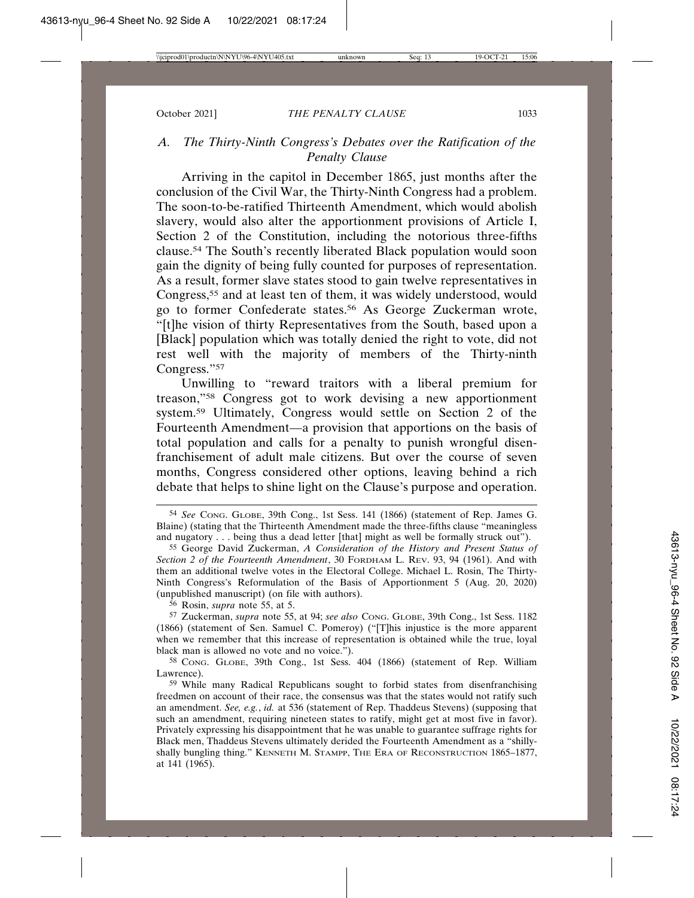## *A. The Thirty-Ninth Congress's Debates over the Ratification of the Penalty Clause*

Arriving in the capitol in December 1865, just months after the conclusion of the Civil War, the Thirty-Ninth Congress had a problem. The soon-to-be-ratified Thirteenth Amendment, which would abolish slavery, would also alter the apportionment provisions of Article I, Section 2 of the Constitution, including the notorious three-fifths clause.54 The South's recently liberated Black population would soon gain the dignity of being fully counted for purposes of representation. As a result, former slave states stood to gain twelve representatives in Congress,55 and at least ten of them, it was widely understood, would go to former Confederate states.56 As George Zuckerman wrote, "[t]he vision of thirty Representatives from the South, based upon a [Black] population which was totally denied the right to vote, did not rest well with the majority of members of the Thirty-ninth Congress."57

Unwilling to "reward traitors with a liberal premium for treason,"58 Congress got to work devising a new apportionment system.59 Ultimately, Congress would settle on Section 2 of the Fourteenth Amendment—a provision that apportions on the basis of total population and calls for a penalty to punish wrongful disenfranchisement of adult male citizens. But over the course of seven months, Congress considered other options, leaving behind a rich debate that helps to shine light on the Clause's purpose and operation.

56 Rosin, *supra* note 55, at 5.

<sup>54</sup> *See* CONG. GLOBE, 39th Cong., 1st Sess. 141 (1866) (statement of Rep. James G. Blaine) (stating that the Thirteenth Amendment made the three-fifths clause "meaningless and nugatory . . . being thus a dead letter [that] might as well be formally struck out").

<sup>55</sup> George David Zuckerman, *A Consideration of the History and Present Status of Section 2 of the Fourteenth Amendment*, 30 FORDHAM L. REV. 93, 94 (1961). And with them an additional twelve votes in the Electoral College. Michael L. Rosin, The Thirty-Ninth Congress's Reformulation of the Basis of Apportionment 5 (Aug. 20, 2020) (unpublished manuscript) (on file with authors).

<sup>57</sup> Zuckerman, *supra* note 55, at 94; *see also* CONG. GLOBE, 39th Cong., 1st Sess. 1182 (1866) (statement of Sen. Samuel C. Pomeroy) ("[T]his injustice is the more apparent when we remember that this increase of representation is obtained while the true, loyal black man is allowed no vote and no voice.").

<sup>58</sup> CONG. GLOBE, 39th Cong., 1st Sess. 404 (1866) (statement of Rep. William Lawrence).

<sup>59</sup> While many Radical Republicans sought to forbid states from disenfranchising freedmen on account of their race, the consensus was that the states would not ratify such an amendment. *See, e.g.*, *id.* at 536 (statement of Rep. Thaddeus Stevens) (supposing that such an amendment, requiring nineteen states to ratify, might get at most five in favor). Privately expressing his disappointment that he was unable to guarantee suffrage rights for Black men, Thaddeus Stevens ultimately derided the Fourteenth Amendment as a "shillyshally bungling thing." KENNETH M. STAMPP, THE ERA OF RECONSTRUCTION 1865–1877, at 141 (1965).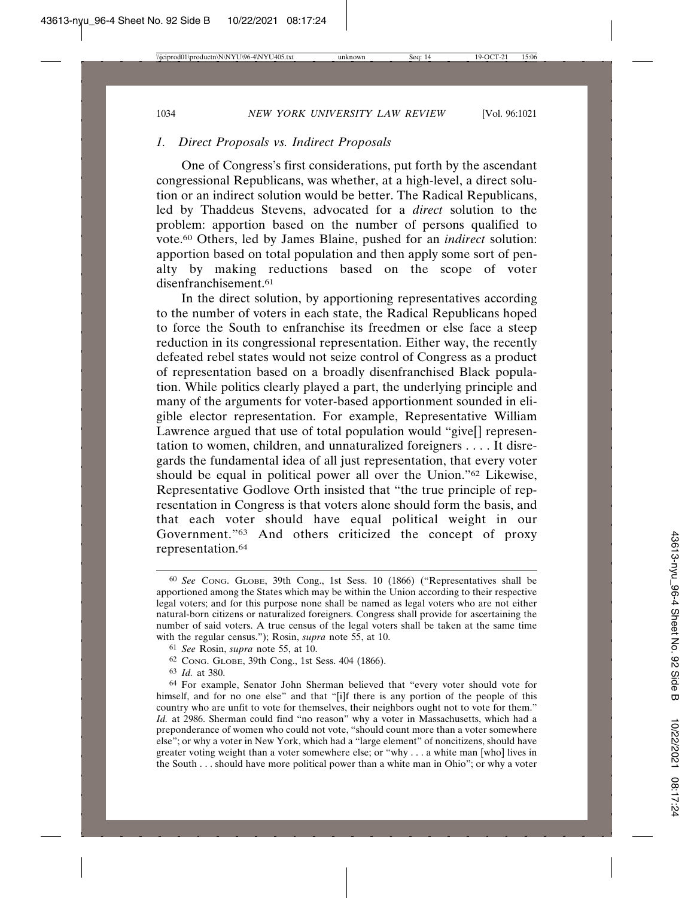#### *1. Direct Proposals vs. Indirect Proposals*

One of Congress's first considerations, put forth by the ascendant congressional Republicans, was whether, at a high-level, a direct solution or an indirect solution would be better. The Radical Republicans, led by Thaddeus Stevens, advocated for a *direct* solution to the problem: apportion based on the number of persons qualified to vote.60 Others, led by James Blaine, pushed for an *indirect* solution: apportion based on total population and then apply some sort of penalty by making reductions based on the scope of voter disenfranchisement.61

In the direct solution, by apportioning representatives according to the number of voters in each state, the Radical Republicans hoped to force the South to enfranchise its freedmen or else face a steep reduction in its congressional representation. Either way, the recently defeated rebel states would not seize control of Congress as a product of representation based on a broadly disenfranchised Black population. While politics clearly played a part, the underlying principle and many of the arguments for voter-based apportionment sounded in eligible elector representation. For example, Representative William Lawrence argued that use of total population would "give[] representation to women, children, and unnaturalized foreigners . . . . It disregards the fundamental idea of all just representation, that every voter should be equal in political power all over the Union."62 Likewise, Representative Godlove Orth insisted that "the true principle of representation in Congress is that voters alone should form the basis, and that each voter should have equal political weight in our Government."63 And others criticized the concept of proxy representation.64

62 CONG. GLOBE, 39th Cong., 1st Sess. 404 (1866).

<sup>60</sup> *See* CONG. GLOBE, 39th Cong., 1st Sess. 10 (1866) ("Representatives shall be apportioned among the States which may be within the Union according to their respective legal voters; and for this purpose none shall be named as legal voters who are not either natural-born citizens or naturalized foreigners. Congress shall provide for ascertaining the number of said voters. A true census of the legal voters shall be taken at the same time with the regular census."); Rosin, *supra* note 55, at 10.

<sup>61</sup> *See* Rosin, *supra* note 55, at 10.

<sup>63</sup> *Id.* at 380.

<sup>64</sup> For example, Senator John Sherman believed that "every voter should vote for himself, and for no one else" and that "[i]f there is any portion of the people of this country who are unfit to vote for themselves, their neighbors ought not to vote for them." *Id.* at 2986. Sherman could find "no reason" why a voter in Massachusetts, which had a preponderance of women who could not vote, "should count more than a voter somewhere else"; or why a voter in New York, which had a "large element" of noncitizens, should have greater voting weight than a voter somewhere else; or "why . . . a white man [who] lives in the South . . . should have more political power than a white man in Ohio"; or why a voter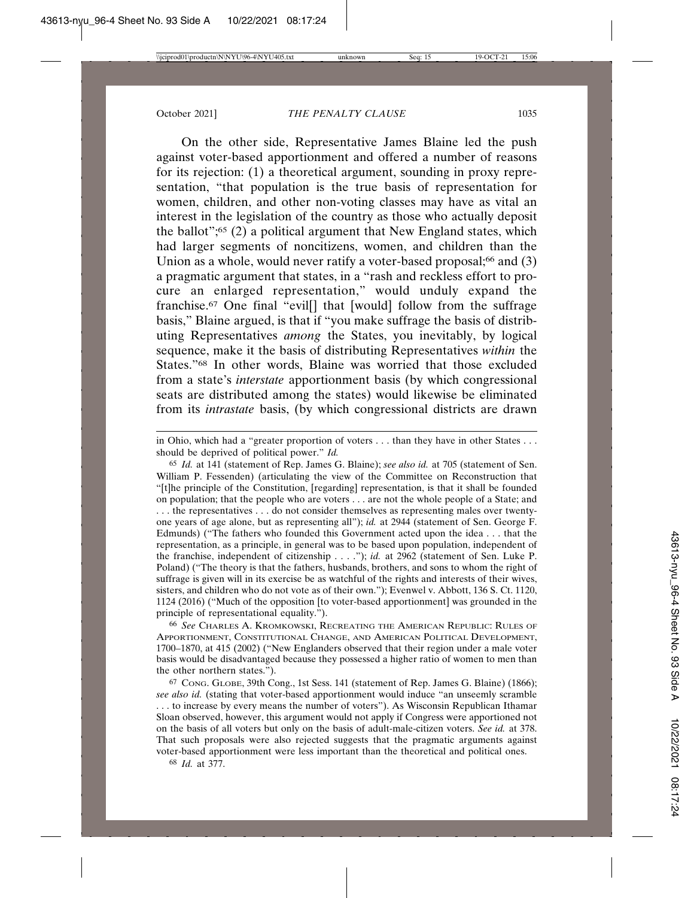On the other side, Representative James Blaine led the push against voter-based apportionment and offered a number of reasons for its rejection: (1) a theoretical argument, sounding in proxy representation, "that population is the true basis of representation for women, children, and other non-voting classes may have as vital an interest in the legislation of the country as those who actually deposit the ballot"; $65$  (2) a political argument that New England states, which had larger segments of noncitizens, women, and children than the Union as a whole, would never ratify a voter-based proposal; $66$  and  $(3)$ a pragmatic argument that states, in a "rash and reckless effort to procure an enlarged representation," would unduly expand the franchise.67 One final "evil[] that [would] follow from the suffrage basis," Blaine argued, is that if "you make suffrage the basis of distributing Representatives *among* the States, you inevitably, by logical sequence, make it the basis of distributing Representatives *within* the States."68 In other words, Blaine was worried that those excluded from a state's *interstate* apportionment basis (by which congressional seats are distributed among the states) would likewise be eliminated from its *intrastate* basis, (by which congressional districts are drawn

66 *See* CHARLES A. KROMKOWSKI, RECREATING THE AMERICAN REPUBLIC: RULES OF APPORTIONMENT, CONSTITUTIONAL CHANGE, AND AMERICAN POLITICAL DEVELOPMENT, 1700–1870, at 415 (2002) ("New Englanders observed that their region under a male voter basis would be disadvantaged because they possessed a higher ratio of women to men than the other northern states.").

in Ohio, which had a "greater proportion of voters . . . than they have in other States . . . should be deprived of political power." *Id.*

<sup>65</sup> *Id.* at 141 (statement of Rep. James G. Blaine); *see also id.* at 705 (statement of Sen. William P. Fessenden) (articulating the view of the Committee on Reconstruction that "[t]he principle of the Constitution, [regarding] representation, is that it shall be founded on population; that the people who are voters . . . are not the whole people of a State; and . . . the representatives . . . do not consider themselves as representing males over twentyone years of age alone, but as representing all"); *id.* at 2944 (statement of Sen. George F. Edmunds) ("The fathers who founded this Government acted upon the idea . . . that the representation, as a principle, in general was to be based upon population, independent of the franchise, independent of citizenship . . . ."); *id.* at 2962 (statement of Sen. Luke P. Poland) ("The theory is that the fathers, husbands, brothers, and sons to whom the right of suffrage is given will in its exercise be as watchful of the rights and interests of their wives, sisters, and children who do not vote as of their own."); Evenwel v. Abbott, 136 S. Ct. 1120, 1124 (2016) ("Much of the opposition [to voter-based apportionment] was grounded in the principle of representational equality.").

<sup>67</sup> CONG. GLOBE, 39th Cong., 1st Sess. 141 (statement of Rep. James G. Blaine) (1866); *see also id.* (stating that voter-based apportionment would induce "an unseemly scramble . . . to increase by every means the number of voters"). As Wisconsin Republican Ithamar Sloan observed, however, this argument would not apply if Congress were apportioned not on the basis of all voters but only on the basis of adult-male-citizen voters. *See id.* at 378. That such proposals were also rejected suggests that the pragmatic arguments against voter-based apportionment were less important than the theoretical and political ones.

<sup>68</sup> *Id.* at 377.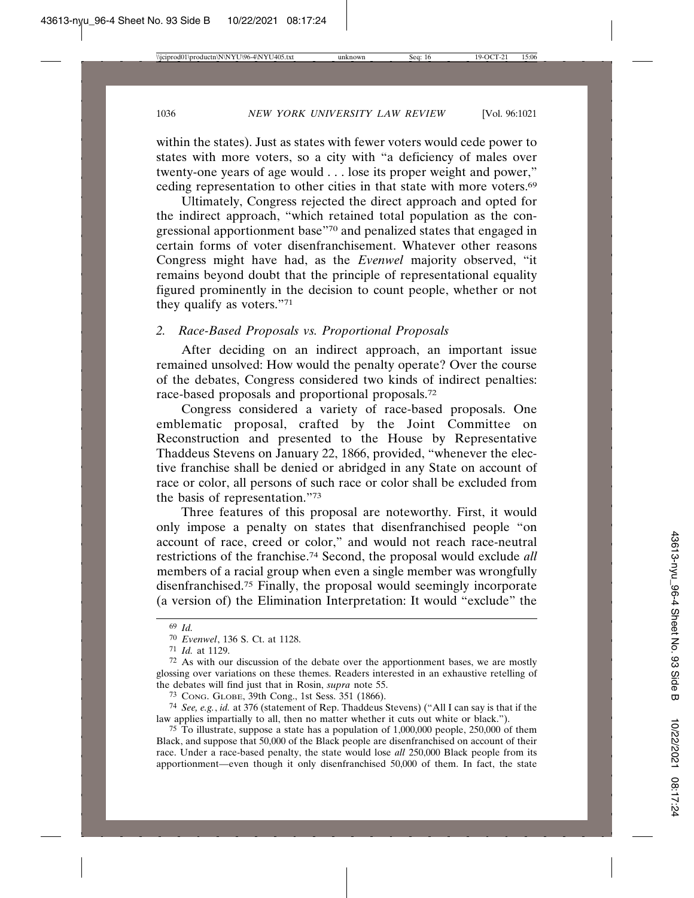within the states). Just as states with fewer voters would cede power to states with more voters, so a city with "a deficiency of males over twenty-one years of age would . . . lose its proper weight and power," ceding representation to other cities in that state with more voters.69

Ultimately, Congress rejected the direct approach and opted for the indirect approach, "which retained total population as the congressional apportionment base"70 and penalized states that engaged in certain forms of voter disenfranchisement. Whatever other reasons Congress might have had, as the *Evenwel* majority observed, "it remains beyond doubt that the principle of representational equality figured prominently in the decision to count people, whether or not they qualify as voters."71

#### *2. Race-Based Proposals vs. Proportional Proposals*

After deciding on an indirect approach, an important issue remained unsolved: How would the penalty operate? Over the course of the debates, Congress considered two kinds of indirect penalties: race-based proposals and proportional proposals.72

Congress considered a variety of race-based proposals. One emblematic proposal, crafted by the Joint Committee on Reconstruction and presented to the House by Representative Thaddeus Stevens on January 22, 1866, provided, "whenever the elective franchise shall be denied or abridged in any State on account of race or color, all persons of such race or color shall be excluded from the basis of representation."73

Three features of this proposal are noteworthy. First, it would only impose a penalty on states that disenfranchised people "on account of race, creed or color," and would not reach race-neutral restrictions of the franchise.74 Second, the proposal would exclude *all* members of a racial group when even a single member was wrongfully disenfranchised.75 Finally, the proposal would seemingly incorporate (a version of) the Elimination Interpretation: It would "exclude" the

<sup>69</sup> *Id.*

<sup>70</sup> *Evenwel*, 136 S. Ct. at 1128.

<sup>71</sup> *Id.* at 1129.

 $72$  As with our discussion of the debate over the apportionment bases, we are mostly glossing over variations on these themes. Readers interested in an exhaustive retelling of the debates will find just that in Rosin, *supra* note 55.

<sup>73</sup> CONG. GLOBE, 39th Cong., 1st Sess. 351 (1866).

<sup>74</sup> *See, e.g.*, *id.* at 376 (statement of Rep. Thaddeus Stevens) ("All I can say is that if the law applies impartially to all, then no matter whether it cuts out white or black.").

<sup>75</sup> To illustrate, suppose a state has a population of 1,000,000 people, 250,000 of them Black, and suppose that 50,000 of the Black people are disenfranchised on account of their race. Under a race-based penalty, the state would lose *all* 250,000 Black people from its apportionment—even though it only disenfranchised 50,000 of them. In fact, the state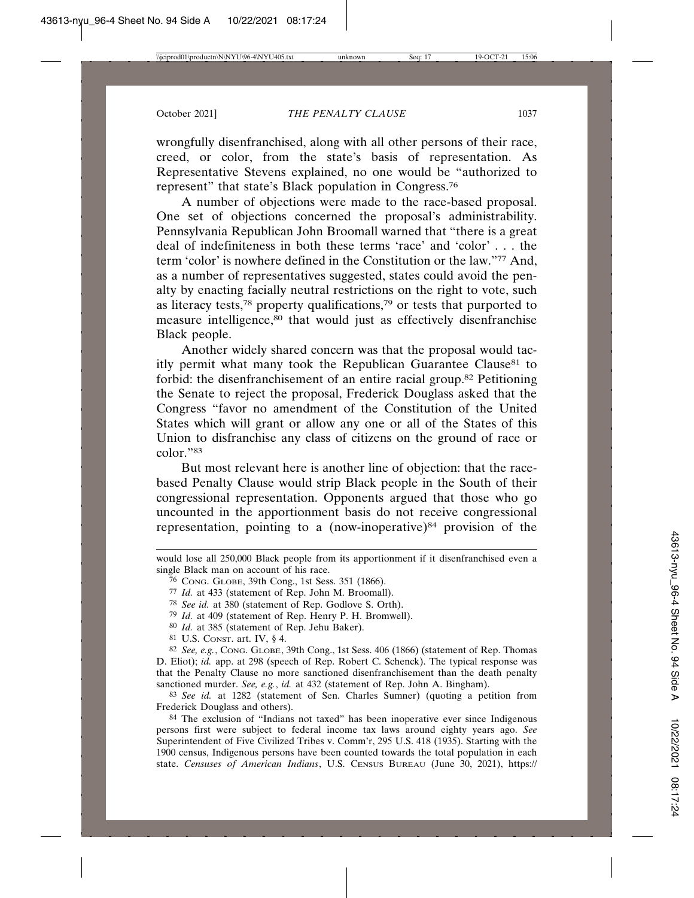wrongfully disenfranchised, along with all other persons of their race, creed, or color, from the state's basis of representation. As Representative Stevens explained, no one would be "authorized to represent" that state's Black population in Congress.76

A number of objections were made to the race-based proposal. One set of objections concerned the proposal's administrability. Pennsylvania Republican John Broomall warned that "there is a great deal of indefiniteness in both these terms 'race' and 'color' . . . the term 'color' is nowhere defined in the Constitution or the law."77 And, as a number of representatives suggested, states could avoid the penalty by enacting facially neutral restrictions on the right to vote, such as literacy tests,78 property qualifications,79 or tests that purported to measure intelligence,<sup>80</sup> that would just as effectively disenfranchise Black people.

Another widely shared concern was that the proposal would tacitly permit what many took the Republican Guarantee Clause<sup>81</sup> to forbid: the disenfranchisement of an entire racial group.82 Petitioning the Senate to reject the proposal, Frederick Douglass asked that the Congress "favor no amendment of the Constitution of the United States which will grant or allow any one or all of the States of this Union to disfranchise any class of citizens on the ground of race or color."83

But most relevant here is another line of objection: that the racebased Penalty Clause would strip Black people in the South of their congressional representation. Opponents argued that those who go uncounted in the apportionment basis do not receive congressional representation, pointing to a (now-inoperative)<sup>84</sup> provision of the

- 80 *Id.* at 385 (statement of Rep. Jehu Baker).
- 81 U.S. CONST. art. IV, § 4.

82 *See, e.g.*, CONG. GLOBE, 39th Cong., 1st Sess. 406 (1866) (statement of Rep. Thomas D. Eliot); *id.* app. at 298 (speech of Rep. Robert C. Schenck). The typical response was that the Penalty Clause no more sanctioned disenfranchisement than the death penalty sanctioned murder. *See, e.g.*, *id.* at 432 (statement of Rep. John A. Bingham).

83 *See id.* at 1282 (statement of Sen. Charles Sumner) (quoting a petition from Frederick Douglass and others).

84 The exclusion of "Indians not taxed" has been inoperative ever since Indigenous persons first were subject to federal income tax laws around eighty years ago. *See* Superintendent of Five Civilized Tribes v. Comm'r, 295 U.S. 418 (1935). Starting with the 1900 census, Indigenous persons have been counted towards the total population in each state. *Censuses of American Indians*, U.S. CENSUS BUREAU (June 30, 2021), https://

would lose all 250,000 Black people from its apportionment if it disenfranchised even a single Black man on account of his race.

<sup>76</sup> CONG. GLOBE, 39th Cong., 1st Sess. 351 (1866).

<sup>77</sup> *Id.* at 433 (statement of Rep. John M. Broomall).

<sup>78</sup> *See id.* at 380 (statement of Rep. Godlove S. Orth).

<sup>79</sup> *Id.* at 409 (statement of Rep. Henry P. H. Bromwell).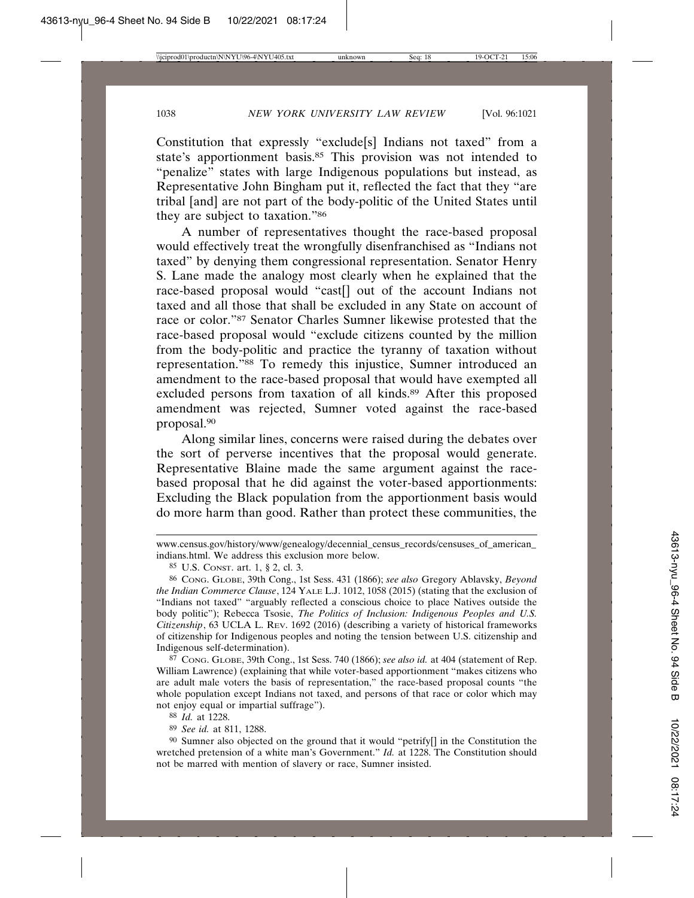Constitution that expressly "exclude[s] Indians not taxed" from a state's apportionment basis.<sup>85</sup> This provision was not intended to "penalize" states with large Indigenous populations but instead, as Representative John Bingham put it, reflected the fact that they "are tribal [and] are not part of the body-politic of the United States until they are subject to taxation."86

A number of representatives thought the race-based proposal would effectively treat the wrongfully disenfranchised as "Indians not taxed" by denying them congressional representation. Senator Henry S. Lane made the analogy most clearly when he explained that the race-based proposal would "cast[] out of the account Indians not taxed and all those that shall be excluded in any State on account of race or color."87 Senator Charles Sumner likewise protested that the race-based proposal would "exclude citizens counted by the million from the body-politic and practice the tyranny of taxation without representation."88 To remedy this injustice, Sumner introduced an amendment to the race-based proposal that would have exempted all excluded persons from taxation of all kinds.<sup>89</sup> After this proposed amendment was rejected, Sumner voted against the race-based proposal.90

Along similar lines, concerns were raised during the debates over the sort of perverse incentives that the proposal would generate. Representative Blaine made the same argument against the racebased proposal that he did against the voter-based apportionments: Excluding the Black population from the apportionment basis would do more harm than good. Rather than protect these communities, the

87 CONG. GLOBE, 39th Cong., 1st Sess. 740 (1866); *see also id.* at 404 (statement of Rep. William Lawrence) (explaining that while voter-based apportionment "makes citizens who are adult male voters the basis of representation," the race-based proposal counts "the whole population except Indians not taxed, and persons of that race or color which may not enjoy equal or impartial suffrage").

89 *See id.* at 811, 1288.

90 Sumner also objected on the ground that it would "petrify[] in the Constitution the wretched pretension of a white man's Government." *Id.* at 1228. The Constitution should not be marred with mention of slavery or race, Sumner insisted.

www.census.gov/history/www/genealogy/decennial\_census\_records/censuses\_of\_american\_ indians.html. We address this exclusion more below.

<sup>85</sup> U.S. CONST. art. 1, § 2, cl. 3.

<sup>86</sup> CONG. GLOBE, 39th Cong., 1st Sess. 431 (1866); *see also* Gregory Ablavsky, *Beyond the Indian Commerce Clause*, 124 YALE L.J. 1012, 1058 (2015) (stating that the exclusion of "Indians not taxed" "arguably reflected a conscious choice to place Natives outside the body politic"); Rebecca Tsosie, *The Politics of Inclusion: Indigenous Peoples and U.S. Citizenship*, 63 UCLA L. REV. 1692 (2016) (describing a variety of historical frameworks of citizenship for Indigenous peoples and noting the tension between U.S. citizenship and Indigenous self-determination).

<sup>88</sup> *Id.* at 1228.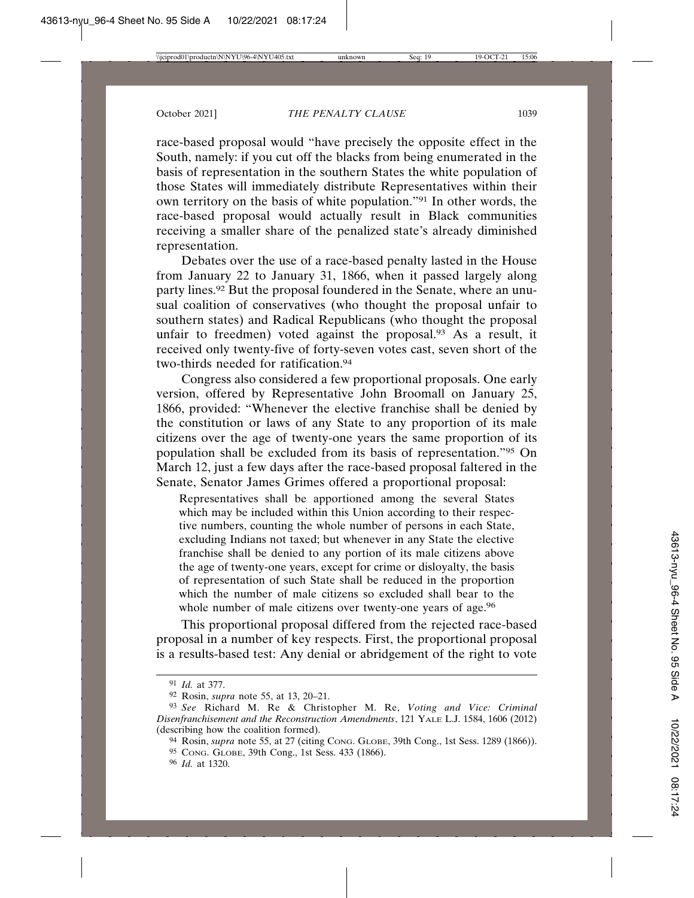race-based proposal would "have precisely the opposite effect in the South, namely: if you cut off the blacks from being enumerated in the basis of representation in the southern States the white population of those States will immediately distribute Representatives within their own territory on the basis of white population."91 In other words, the race-based proposal would actually result in Black communities receiving a smaller share of the penalized state's already diminished representation.

Debates over the use of a race-based penalty lasted in the House from January 22 to January 31, 1866, when it passed largely along party lines.<sup>92</sup> But the proposal foundered in the Senate, where an unusual coalition of conservatives (who thought the proposal unfair to southern states) and Radical Republicans (who thought the proposal unfair to freedmen) voted against the proposal.<sup>93</sup> As a result, it received only twenty-five of forty-seven votes cast, seven short of the two-thirds needed for ratification.<sup>94</sup>

Congress also considered a few proportional proposals. One early version, offered by Representative John Broomall on January 25, 1866, provided: "Whenever the elective franchise shall be denied by the constitution or laws of any State to any proportion of its male citizens over the age of twenty-one years the same proportion of its population shall be excluded from its basis of representation."95 On March 12, just a few days after the race-based proposal faltered in the Senate, Senator James Grimes offered a proportional proposal:

Representatives shall be apportioned among the several States which may be included within this Union according to their respective numbers, counting the whole number of persons in each State, excluding Indians not taxed; but whenever in any State the elective franchise shall be denied to any portion of its male citizens above the age of twenty-one years, except for crime or disloyalty, the basis of representation of such State shall be reduced in the proportion which the number of male citizens so excluded shall bear to the whole number of male citizens over twenty-one years of age.<sup>96</sup>

This proportional proposal differed from the rejected race-based proposal in a number of key respects. First, the proportional proposal is a results-based test: Any denial or abridgement of the right to vote

<sup>91</sup> *Id.* at 377.

<sup>92</sup> Rosin, *supra* note 55, at 13, 20–21.

<sup>93</sup> *See* Richard M. Re & Christopher M. Re, *Voting and Vice: Criminal Disenfranchisement and the Reconstruction Amendments*, 121 YALE L.J. 1584, 1606 (2012) (describing how the coalition formed).

<sup>94</sup> Rosin, *supra* note 55, at 27 (citing CONG. GLOBE, 39th Cong., 1st Sess. 1289 (1866)).

<sup>95</sup> CONG. GLOBE, 39th Cong., 1st Sess. 433 (1866).

<sup>96</sup> *Id.* at 1320.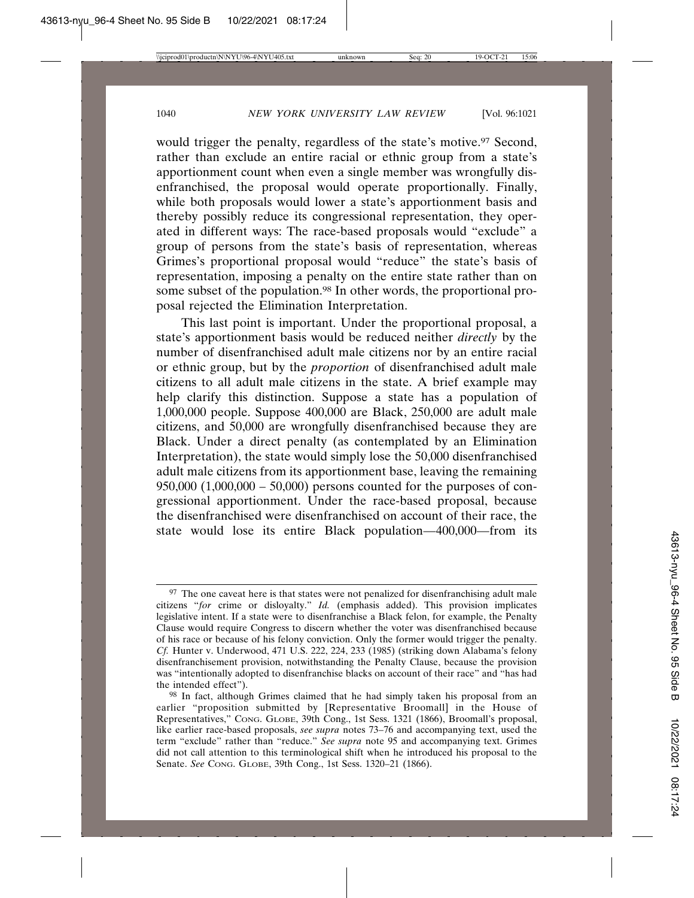would trigger the penalty, regardless of the state's motive.<sup>97</sup> Second, rather than exclude an entire racial or ethnic group from a state's apportionment count when even a single member was wrongfully disenfranchised, the proposal would operate proportionally. Finally, while both proposals would lower a state's apportionment basis and thereby possibly reduce its congressional representation, they operated in different ways: The race-based proposals would "exclude" a group of persons from the state's basis of representation, whereas Grimes's proportional proposal would "reduce" the state's basis of representation, imposing a penalty on the entire state rather than on some subset of the population.<sup>98</sup> In other words, the proportional proposal rejected the Elimination Interpretation.

This last point is important. Under the proportional proposal, a state's apportionment basis would be reduced neither *directly* by the number of disenfranchised adult male citizens nor by an entire racial or ethnic group, but by the *proportion* of disenfranchised adult male citizens to all adult male citizens in the state. A brief example may help clarify this distinction. Suppose a state has a population of 1,000,000 people. Suppose 400,000 are Black, 250,000 are adult male citizens, and 50,000 are wrongfully disenfranchised because they are Black. Under a direct penalty (as contemplated by an Elimination Interpretation), the state would simply lose the 50,000 disenfranchised adult male citizens from its apportionment base, leaving the remaining  $950,000$   $(1,000,000 - 50,000)$  persons counted for the purposes of congressional apportionment. Under the race-based proposal, because the disenfranchised were disenfranchised on account of their race, the state would lose its entire Black population—400,000—from its

<sup>&</sup>lt;sup>97</sup> The one caveat here is that states were not penalized for disenfranchising adult male citizens "*for* crime or disloyalty." *Id.* (emphasis added). This provision implicates legislative intent. If a state were to disenfranchise a Black felon, for example, the Penalty Clause would require Congress to discern whether the voter was disenfranchised because of his race or because of his felony conviction. Only the former would trigger the penalty. *Cf.* Hunter v. Underwood, 471 U.S. 222, 224, 233 (1985) (striking down Alabama's felony disenfranchisement provision, notwithstanding the Penalty Clause, because the provision was "intentionally adopted to disenfranchise blacks on account of their race" and "has had the intended effect").

<sup>98</sup> In fact, although Grimes claimed that he had simply taken his proposal from an earlier "proposition submitted by [Representative Broomall] in the House of Representatives," CONG. GLOBE, 39th Cong., 1st Sess. 1321 (1866), Broomall's proposal, like earlier race-based proposals, *see supra* notes 73–76 and accompanying text, used the term "exclude" rather than "reduce." *See supra* note 95 and accompanying text. Grimes did not call attention to this terminological shift when he introduced his proposal to the Senate. *See* CONG. GLOBE, 39th Cong., 1st Sess. 1320–21 (1866).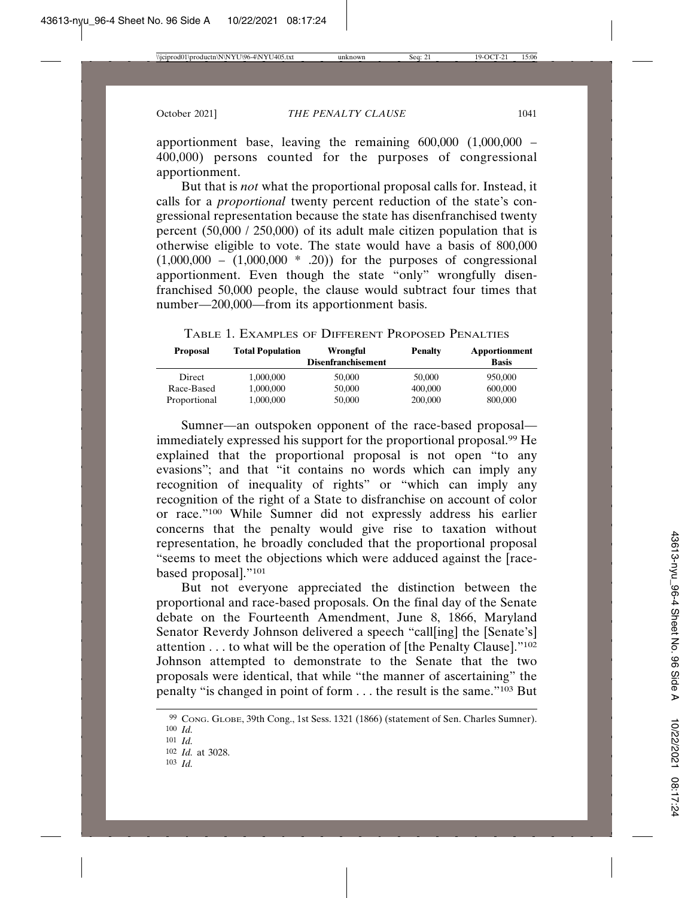apportionment base, leaving the remaining  $600,000$   $(1,000,000$  – 400,000) persons counted for the purposes of congressional apportionment.

But that is *not* what the proportional proposal calls for. Instead, it calls for a *proportional* twenty percent reduction of the state's congressional representation because the state has disenfranchised twenty percent  $(50,000 / 250,000)$  of its adult male citizen population that is otherwise eligible to vote. The state would have a basis of 800,000  $(1,000,000 - (1,000,000 * .20))$  for the purposes of congressional apportionment. Even though the state "only" wrongfully disenfranchised 50,000 people, the clause would subtract four times that number—200,000—from its apportionment basis.

TABLE 1. EXAMPLES OF DIFFERENT PROPOSED PENALTIES

| <b>Proposal</b> | <b>Total Population</b> | Wrongful<br><b>Disenfranchisement</b> | <b>Penalty</b> | <b>Apportionment</b><br><b>Basis</b> |
|-----------------|-------------------------|---------------------------------------|----------------|--------------------------------------|
| Direct          | 1.000.000               | 50,000                                | 50,000         | 950,000                              |
| Race-Based      | 1.000.000               | 50,000                                | 400,000        | 600,000                              |
| Proportional    | 1,000,000               | 50,000                                | 200,000        | 800,000                              |

Sumner—an outspoken opponent of the race-based proposal immediately expressed his support for the proportional proposal.99 He explained that the proportional proposal is not open "to any evasions"; and that "it contains no words which can imply any recognition of inequality of rights" or "which can imply any recognition of the right of a State to disfranchise on account of color or race."100 While Sumner did not expressly address his earlier concerns that the penalty would give rise to taxation without representation, he broadly concluded that the proportional proposal "seems to meet the objections which were adduced against the [racebased proposal]."101

But not everyone appreciated the distinction between the proportional and race-based proposals. On the final day of the Senate debate on the Fourteenth Amendment, June 8, 1866, Maryland Senator Reverdy Johnson delivered a speech "call[ing] the [Senate's] attention . . . to what will be the operation of [the Penalty Clause]."102 Johnson attempted to demonstrate to the Senate that the two proposals were identical, that while "the manner of ascertaining" the penalty "is changed in point of form . . . the result is the same."103 But

<sup>99</sup> CONG. GLOBE, 39th Cong., 1st Sess. 1321 (1866) (statement of Sen. Charles Sumner).

<sup>100</sup> *Id.*

<sup>101</sup> *Id.*

<sup>102</sup> *Id.* at 3028.

<sup>103</sup> *Id.*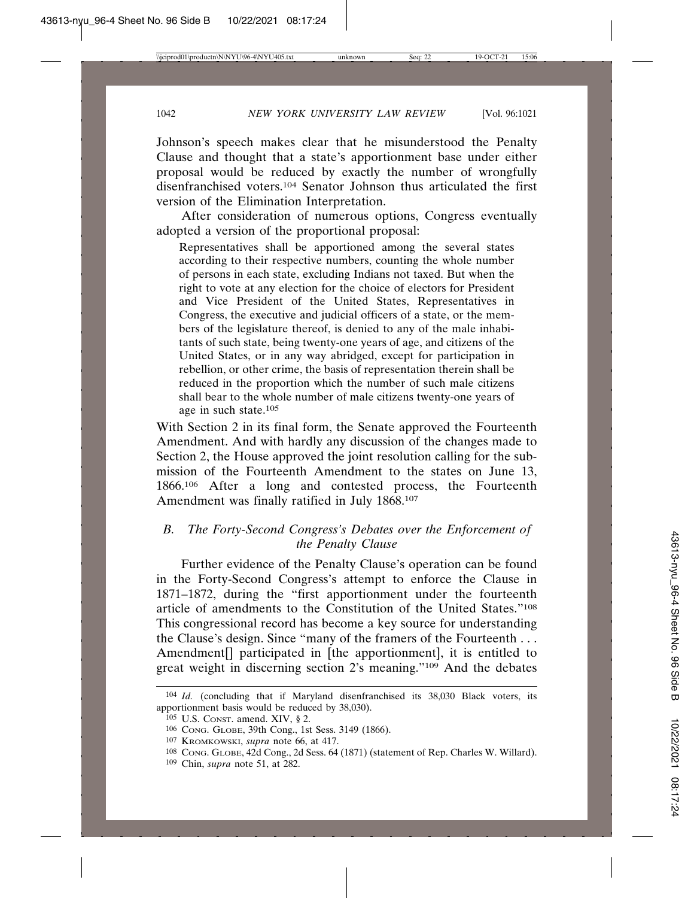Johnson's speech makes clear that he misunderstood the Penalty Clause and thought that a state's apportionment base under either proposal would be reduced by exactly the number of wrongfully disenfranchised voters.<sup>104</sup> Senator Johnson thus articulated the first version of the Elimination Interpretation.

After consideration of numerous options, Congress eventually adopted a version of the proportional proposal:

Representatives shall be apportioned among the several states according to their respective numbers, counting the whole number of persons in each state, excluding Indians not taxed. But when the right to vote at any election for the choice of electors for President and Vice President of the United States, Representatives in Congress, the executive and judicial officers of a state, or the members of the legislature thereof, is denied to any of the male inhabitants of such state, being twenty-one years of age, and citizens of the United States, or in any way abridged, except for participation in rebellion, or other crime, the basis of representation therein shall be reduced in the proportion which the number of such male citizens shall bear to the whole number of male citizens twenty-one years of age in such state.105

With Section 2 in its final form, the Senate approved the Fourteenth Amendment. And with hardly any discussion of the changes made to Section 2, the House approved the joint resolution calling for the submission of the Fourteenth Amendment to the states on June 13, 1866.106 After a long and contested process, the Fourteenth Amendment was finally ratified in July 1868.107

## *B. The Forty-Second Congress's Debates over the Enforcement of the Penalty Clause*

Further evidence of the Penalty Clause's operation can be found in the Forty-Second Congress's attempt to enforce the Clause in 1871–1872, during the "first apportionment under the fourteenth article of amendments to the Constitution of the United States."108 This congressional record has become a key source for understanding the Clause's design. Since "many of the framers of the Fourteenth . . . Amendment<sup>[]</sup> participated in [the apportionment], it is entitled to great weight in discerning section 2's meaning."109 And the debates

<sup>104</sup> *Id.* (concluding that if Maryland disenfranchised its 38,030 Black voters, its apportionment basis would be reduced by 38,030).

<sup>105</sup> U.S. CONST. amend. XIV, § 2.

<sup>106</sup> CONG. GLOBE, 39th Cong., 1st Sess. 3149 (1866).

<sup>107</sup> KROMKOWSKI, *supra* note 66, at 417.

<sup>108</sup> CONG. GLOBE, 42d Cong., 2d Sess. 64 (1871) (statement of Rep. Charles W. Willard).

<sup>109</sup> Chin, *supra* note 51, at 282.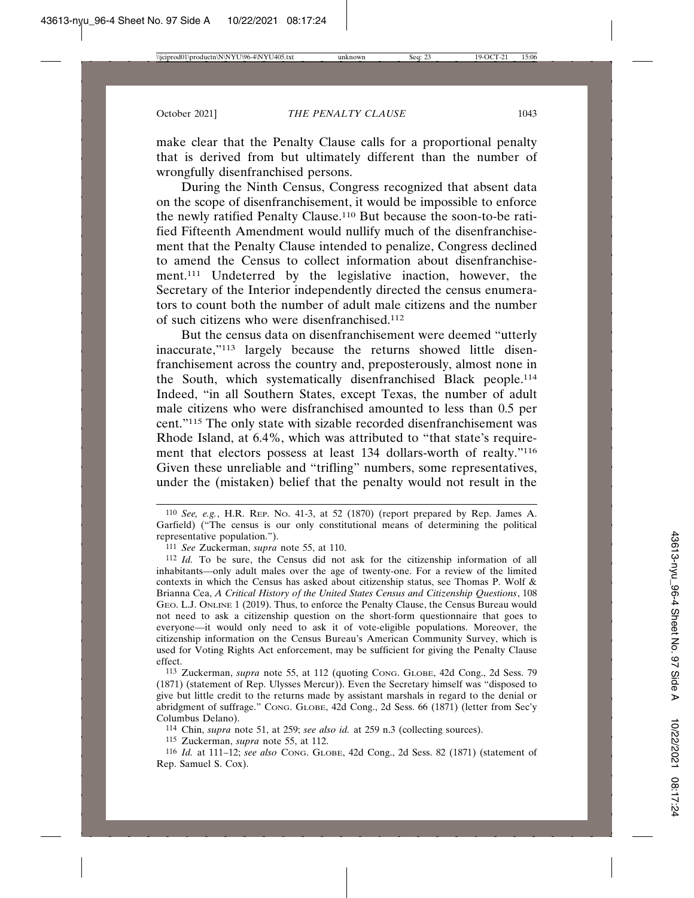make clear that the Penalty Clause calls for a proportional penalty that is derived from but ultimately different than the number of wrongfully disenfranchised persons.

During the Ninth Census, Congress recognized that absent data on the scope of disenfranchisement, it would be impossible to enforce the newly ratified Penalty Clause.110 But because the soon-to-be ratified Fifteenth Amendment would nullify much of the disenfranchisement that the Penalty Clause intended to penalize, Congress declined to amend the Census to collect information about disenfranchisement.111 Undeterred by the legislative inaction, however, the Secretary of the Interior independently directed the census enumerators to count both the number of adult male citizens and the number of such citizens who were disenfranchised.112

But the census data on disenfranchisement were deemed "utterly inaccurate,"113 largely because the returns showed little disenfranchisement across the country and, preposterously, almost none in the South, which systematically disenfranchised Black people.114 Indeed, "in all Southern States, except Texas, the number of adult male citizens who were disfranchised amounted to less than 0.5 per cent."115 The only state with sizable recorded disenfranchisement was Rhode Island, at 6.4%, which was attributed to "that state's requirement that electors possess at least 134 dollars-worth of realty."116 Given these unreliable and "trifling" numbers, some representatives, under the (mistaken) belief that the penalty would not result in the

113 Zuckerman, *supra* note 55, at 112 (quoting CONG. GLOBE, 42d Cong., 2d Sess. 79 (1871) (statement of Rep. Ulysses Mercur)). Even the Secretary himself was "disposed to give but little credit to the returns made by assistant marshals in regard to the denial or abridgment of suffrage." CONG. GLOBE, 42d Cong., 2d Sess. 66 (1871) (letter from Sec'y Columbus Delano).

114 Chin, *supra* note 51, at 259; *see also id.* at 259 n.3 (collecting sources).

115 Zuckerman, *supra* note 55, at 112.

116 *Id.* at 111–12; *see also* CONG. GLOBE, 42d Cong., 2d Sess. 82 (1871) (statement of Rep. Samuel S. Cox).

<sup>110</sup> *See, e.g.*, H.R. REP. NO. 41-3, at 52 (1870) (report prepared by Rep. James A. Garfield) ("The census is our only constitutional means of determining the political representative population.").

<sup>111</sup> *See* Zuckerman, *supra* note 55, at 110.

<sup>112</sup> *Id.* To be sure, the Census did not ask for the citizenship information of all inhabitants—only adult males over the age of twenty-one. For a review of the limited contexts in which the Census has asked about citizenship status, see Thomas P. Wolf  $\&$ Brianna Cea, *A Critical History of the United States Census and Citizenship Questions*, 108 GEO. L.J. ONLINE 1 (2019). Thus, to enforce the Penalty Clause, the Census Bureau would not need to ask a citizenship question on the short-form questionnaire that goes to everyone—it would only need to ask it of vote-eligible populations. Moreover, the citizenship information on the Census Bureau's American Community Survey, which is used for Voting Rights Act enforcement, may be sufficient for giving the Penalty Clause effect.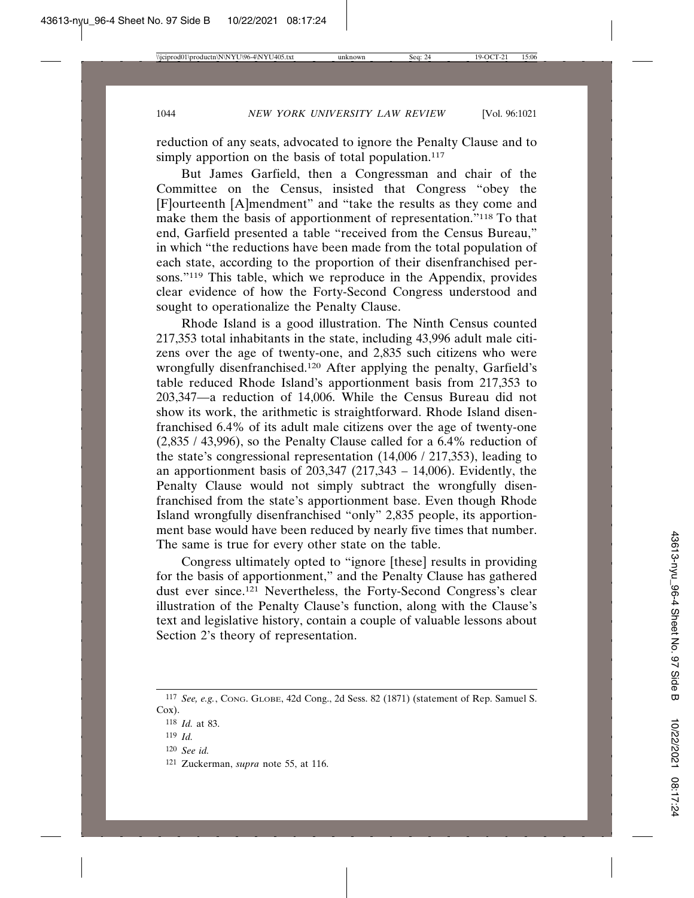reduction of any seats, advocated to ignore the Penalty Clause and to simply apportion on the basis of total population.<sup>117</sup>

But James Garfield, then a Congressman and chair of the Committee on the Census, insisted that Congress "obey the [F]ourteenth [A]mendment" and "take the results as they come and make them the basis of apportionment of representation."<sup>118</sup> To that end, Garfield presented a table "received from the Census Bureau," in which "the reductions have been made from the total population of each state, according to the proportion of their disenfranchised persons."119 This table, which we reproduce in the Appendix, provides clear evidence of how the Forty-Second Congress understood and sought to operationalize the Penalty Clause.

Rhode Island is a good illustration. The Ninth Census counted 217,353 total inhabitants in the state, including 43,996 adult male citizens over the age of twenty-one, and 2,835 such citizens who were wrongfully disenfranchised.120 After applying the penalty, Garfield's table reduced Rhode Island's apportionment basis from 217,353 to 203,347—a reduction of 14,006. While the Census Bureau did not show its work, the arithmetic is straightforward. Rhode Island disenfranchised 6.4% of its adult male citizens over the age of twenty-one (2,835 / 43,996), so the Penalty Clause called for a 6.4% reduction of the state's congressional representation (14,006 / 217,353), leading to an apportionment basis of  $203,347$  (217,343 – 14,006). Evidently, the Penalty Clause would not simply subtract the wrongfully disenfranchised from the state's apportionment base. Even though Rhode Island wrongfully disenfranchised "only" 2,835 people, its apportionment base would have been reduced by nearly five times that number. The same is true for every other state on the table.

Congress ultimately opted to "ignore [these] results in providing for the basis of apportionment," and the Penalty Clause has gathered dust ever since.121 Nevertheless, the Forty-Second Congress's clear illustration of the Penalty Clause's function, along with the Clause's text and legislative history, contain a couple of valuable lessons about Section 2's theory of representation.

<sup>117</sup> *See, e.g.*, CONG. GLOBE, 42d Cong., 2d Sess. 82 (1871) (statement of Rep. Samuel S. Cox).

<sup>118</sup> *Id.* at 83.

<sup>119</sup> *Id.*

<sup>120</sup> *See id.*

<sup>121</sup> Zuckerman, *supra* note 55, at 116.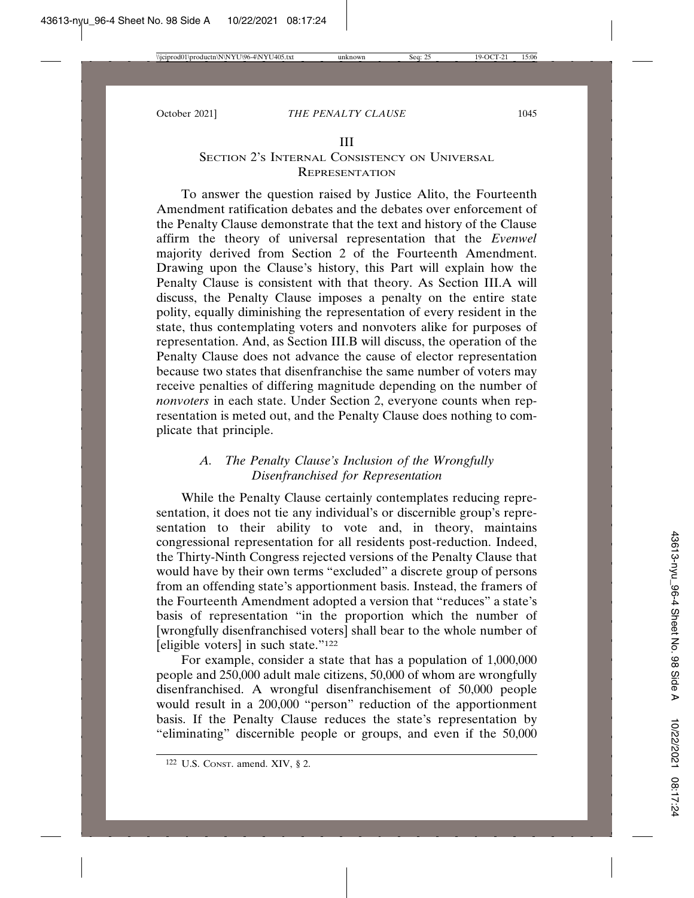#### III

## SECTION 2'S INTERNAL CONSISTENCY ON UNIVERSAL REPRESENTATION

To answer the question raised by Justice Alito, the Fourteenth Amendment ratification debates and the debates over enforcement of the Penalty Clause demonstrate that the text and history of the Clause affirm the theory of universal representation that the *Evenwel* majority derived from Section 2 of the Fourteenth Amendment. Drawing upon the Clause's history, this Part will explain how the Penalty Clause is consistent with that theory. As Section III.A will discuss, the Penalty Clause imposes a penalty on the entire state polity, equally diminishing the representation of every resident in the state, thus contemplating voters and nonvoters alike for purposes of representation. And, as Section III.B will discuss, the operation of the Penalty Clause does not advance the cause of elector representation because two states that disenfranchise the same number of voters may receive penalties of differing magnitude depending on the number of *nonvoters* in each state. Under Section 2, everyone counts when representation is meted out, and the Penalty Clause does nothing to complicate that principle.

## *A. The Penalty Clause's Inclusion of the Wrongfully Disenfranchised for Representation*

While the Penalty Clause certainly contemplates reducing representation, it does not tie any individual's or discernible group's representation to their ability to vote and, in theory, maintains congressional representation for all residents post-reduction. Indeed, the Thirty-Ninth Congress rejected versions of the Penalty Clause that would have by their own terms "excluded" a discrete group of persons from an offending state's apportionment basis. Instead, the framers of the Fourteenth Amendment adopted a version that "reduces" a state's basis of representation "in the proportion which the number of [wrongfully disenfranchised voters] shall bear to the whole number of [eligible voters] in such state."122

For example, consider a state that has a population of 1,000,000 people and 250,000 adult male citizens, 50,000 of whom are wrongfully disenfranchised. A wrongful disenfranchisement of 50,000 people would result in a 200,000 "person" reduction of the apportionment basis. If the Penalty Clause reduces the state's representation by "eliminating" discernible people or groups, and even if the 50,000

<sup>122</sup> U.S. CONST. amend. XIV, § 2.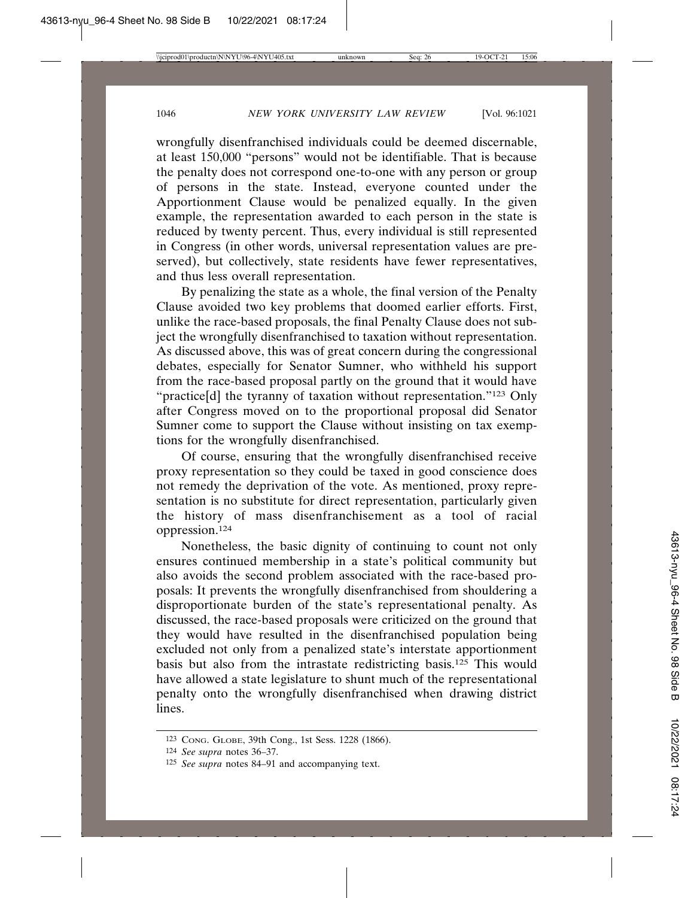wrongfully disenfranchised individuals could be deemed discernable, at least 150,000 "persons" would not be identifiable. That is because the penalty does not correspond one-to-one with any person or group of persons in the state. Instead, everyone counted under the Apportionment Clause would be penalized equally. In the given example, the representation awarded to each person in the state is reduced by twenty percent. Thus, every individual is still represented in Congress (in other words, universal representation values are preserved), but collectively, state residents have fewer representatives, and thus less overall representation.

By penalizing the state as a whole, the final version of the Penalty Clause avoided two key problems that doomed earlier efforts. First, unlike the race-based proposals, the final Penalty Clause does not subject the wrongfully disenfranchised to taxation without representation. As discussed above, this was of great concern during the congressional debates, especially for Senator Sumner, who withheld his support from the race-based proposal partly on the ground that it would have "practice[d] the tyranny of taxation without representation."<sup>123</sup> Only after Congress moved on to the proportional proposal did Senator Sumner come to support the Clause without insisting on tax exemptions for the wrongfully disenfranchised.

Of course, ensuring that the wrongfully disenfranchised receive proxy representation so they could be taxed in good conscience does not remedy the deprivation of the vote. As mentioned, proxy representation is no substitute for direct representation, particularly given the history of mass disenfranchisement as a tool of racial oppression.124

Nonetheless, the basic dignity of continuing to count not only ensures continued membership in a state's political community but also avoids the second problem associated with the race-based proposals: It prevents the wrongfully disenfranchised from shouldering a disproportionate burden of the state's representational penalty. As discussed, the race-based proposals were criticized on the ground that they would have resulted in the disenfranchised population being excluded not only from a penalized state's interstate apportionment basis but also from the intrastate redistricting basis.125 This would have allowed a state legislature to shunt much of the representational penalty onto the wrongfully disenfranchised when drawing district lines.

<sup>123</sup> CONG. GLOBE, 39th Cong., 1st Sess. 1228 (1866).

<sup>124</sup> *See supra* notes 36–37.

<sup>125</sup> *See supra* notes 84–91 and accompanying text.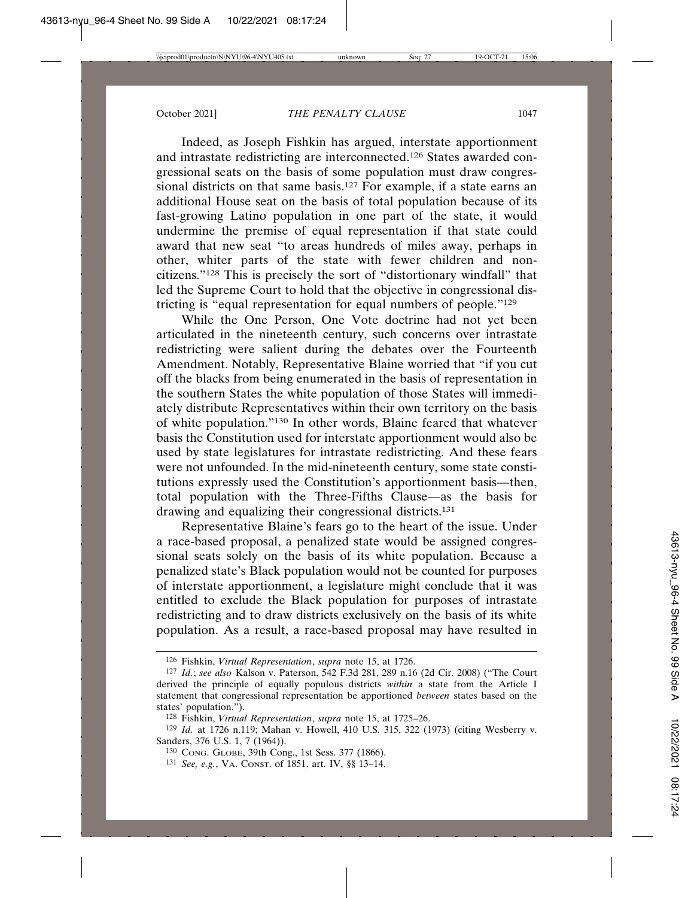Indeed, as Joseph Fishkin has argued, interstate apportionment and intrastate redistricting are interconnected.126 States awarded congressional seats on the basis of some population must draw congressional districts on that same basis.<sup>127</sup> For example, if a state earns an additional House seat on the basis of total population because of its fast-growing Latino population in one part of the state, it would undermine the premise of equal representation if that state could award that new seat "to areas hundreds of miles away, perhaps in other, whiter parts of the state with fewer children and noncitizens."128 This is precisely the sort of "distortionary windfall" that led the Supreme Court to hold that the objective in congressional districting is "equal representation for equal numbers of people."129

While the One Person, One Vote doctrine had not yet been articulated in the nineteenth century, such concerns over intrastate redistricting were salient during the debates over the Fourteenth Amendment. Notably, Representative Blaine worried that "if you cut off the blacks from being enumerated in the basis of representation in the southern States the white population of those States will immediately distribute Representatives within their own territory on the basis of white population."130 In other words, Blaine feared that whatever basis the Constitution used for interstate apportionment would also be used by state legislatures for intrastate redistricting. And these fears were not unfounded. In the mid-nineteenth century, some state constitutions expressly used the Constitution's apportionment basis—then, total population with the Three-Fifths Clause—as the basis for drawing and equalizing their congressional districts.131

Representative Blaine's fears go to the heart of the issue. Under a race-based proposal, a penalized state would be assigned congressional seats solely on the basis of its white population. Because a penalized state's Black population would not be counted for purposes of interstate apportionment, a legislature might conclude that it was entitled to exclude the Black population for purposes of intrastate redistricting and to draw districts exclusively on the basis of its white population. As a result, a race-based proposal may have resulted in

<sup>126</sup> Fishkin, *Virtual Representation*, *supra* note 15, at 1726.

<sup>127</sup> *Id.*; *see also* Kalson v. Paterson, 542 F.3d 281, 289 n.16 (2d Cir. 2008) ("The Court derived the principle of equally populous districts *within* a state from the Article I statement that congressional representation be apportioned *between* states based on the states' population.").

<sup>128</sup> Fishkin, *Virtual Representation*, *supra* note 15, at 1725–26.

<sup>129</sup> *Id.* at 1726 n.119; Mahan v. Howell, 410 U.S. 315, 322 (1973) (citing Wesberry v. Sanders, 376 U.S. 1, 7 (1964)).

<sup>130</sup> CONG. GLOBE, 39th Cong., 1st Sess. 377 (1866).

<sup>131</sup> *See, e.g.*, VA. CONST. of 1851, art. IV, §§ 13–14.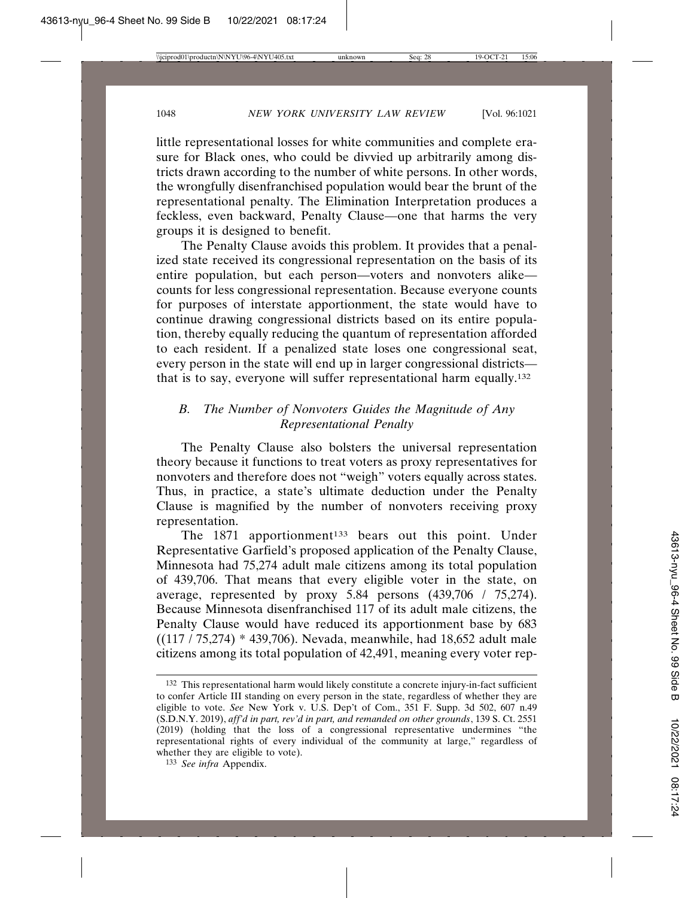little representational losses for white communities and complete erasure for Black ones, who could be divvied up arbitrarily among districts drawn according to the number of white persons. In other words, the wrongfully disenfranchised population would bear the brunt of the representational penalty. The Elimination Interpretation produces a feckless, even backward, Penalty Clause—one that harms the very groups it is designed to benefit.

The Penalty Clause avoids this problem. It provides that a penalized state received its congressional representation on the basis of its entire population, but each person—voters and nonvoters alike counts for less congressional representation. Because everyone counts for purposes of interstate apportionment, the state would have to continue drawing congressional districts based on its entire population, thereby equally reducing the quantum of representation afforded to each resident. If a penalized state loses one congressional seat, every person in the state will end up in larger congressional districts that is to say, everyone will suffer representational harm equally.132

## *B. The Number of Nonvoters Guides the Magnitude of Any Representational Penalty*

The Penalty Clause also bolsters the universal representation theory because it functions to treat voters as proxy representatives for nonvoters and therefore does not "weigh" voters equally across states. Thus, in practice, a state's ultimate deduction under the Penalty Clause is magnified by the number of nonvoters receiving proxy representation.

The  $1871$  apportionment<sup>133</sup> bears out this point. Under Representative Garfield's proposed application of the Penalty Clause, Minnesota had 75,274 adult male citizens among its total population of 439,706. That means that every eligible voter in the state, on average, represented by proxy 5.84 persons (439,706 / 75,274). Because Minnesota disenfranchised 117 of its adult male citizens, the Penalty Clause would have reduced its apportionment base by 683 ((117 / 75,274) \* 439,706). Nevada, meanwhile, had 18,652 adult male citizens among its total population of 42,491, meaning every voter rep-

<sup>132</sup> This representational harm would likely constitute a concrete injury-in-fact sufficient to confer Article III standing on every person in the state, regardless of whether they are eligible to vote. *See* New York v. U.S. Dep't of Com., 351 F. Supp. 3d 502, 607 n.49 (S.D.N.Y. 2019), *aff'd in part, rev'd in part, and remanded on other grounds*, 139 S. Ct. 2551 (2019) (holding that the loss of a congressional representative undermines "the representational rights of every individual of the community at large," regardless of whether they are eligible to vote).

<sup>133</sup> *See infra* Appendix.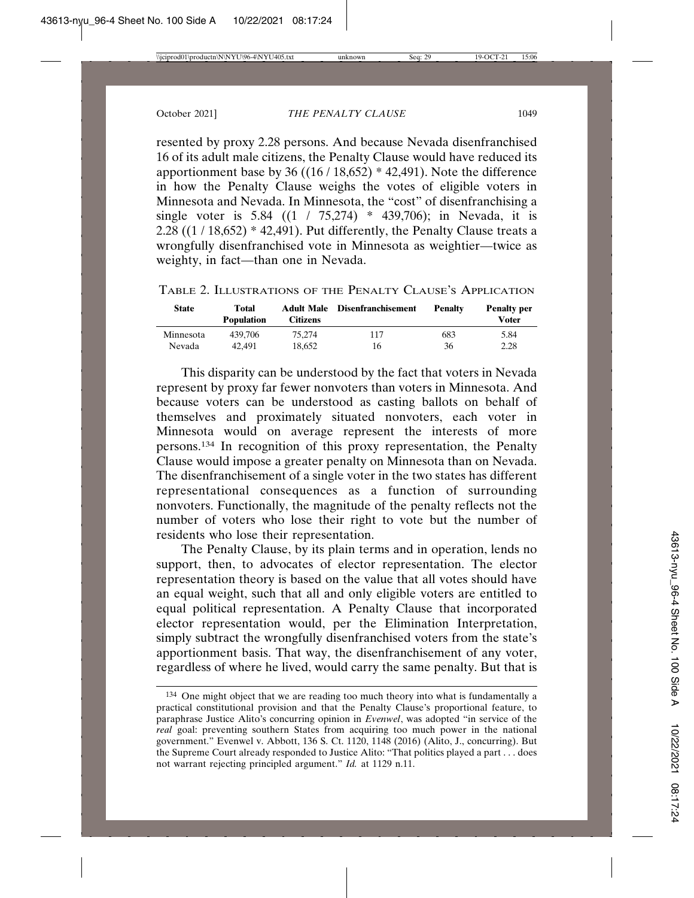resented by proxy 2.28 persons. And because Nevada disenfranchised 16 of its adult male citizens, the Penalty Clause would have reduced its apportionment base by 36  $((16/18,652) * 42,491)$ . Note the difference in how the Penalty Clause weighs the votes of eligible voters in Minnesota and Nevada. In Minnesota, the "cost" of disenfranchising a single voter is 5.84  $((1 / 75,274) * 439,706)$ ; in Nevada, it is  $2.28 ((1/18,652) * 42,491)$ . Put differently, the Penalty Clause treats a wrongfully disenfranchised vote in Minnesota as weightier—twice as weighty, in fact—than one in Nevada.

| <b>State</b> | Total<br><b>Population</b> | <b>Adult Male</b><br>Citizens | <b>Disenfranchisement</b> | <b>Penalty</b> | <b>Penalty per</b><br><b>Voter</b> |
|--------------|----------------------------|-------------------------------|---------------------------|----------------|------------------------------------|
| Minnesota    | 439.706                    | 75.274                        | 117                       | 683            | 5.84                               |
| Nevada       | 42.491                     | 18.652                        | 16                        | 36             | 2.28                               |

TABLE 2. ILLUSTRATIONS OF THE PENALTY CLAUSE'S APPLICATION

This disparity can be understood by the fact that voters in Nevada represent by proxy far fewer nonvoters than voters in Minnesota. And because voters can be understood as casting ballots on behalf of themselves and proximately situated nonvoters, each voter in Minnesota would on average represent the interests of more persons.134 In recognition of this proxy representation, the Penalty Clause would impose a greater penalty on Minnesota than on Nevada. The disenfranchisement of a single voter in the two states has different representational consequences as a function of surrounding nonvoters. Functionally, the magnitude of the penalty reflects not the number of voters who lose their right to vote but the number of residents who lose their representation.

The Penalty Clause, by its plain terms and in operation, lends no support, then, to advocates of elector representation. The elector representation theory is based on the value that all votes should have an equal weight, such that all and only eligible voters are entitled to equal political representation. A Penalty Clause that incorporated elector representation would, per the Elimination Interpretation, simply subtract the wrongfully disenfranchised voters from the state's apportionment basis. That way, the disenfranchisement of any voter, regardless of where he lived, would carry the same penalty. But that is

<sup>134</sup> One might object that we are reading too much theory into what is fundamentally a practical constitutional provision and that the Penalty Clause's proportional feature, to paraphrase Justice Alito's concurring opinion in *Evenwel*, was adopted "in service of the *real* goal: preventing southern States from acquiring too much power in the national government." Evenwel v. Abbott, 136 S. Ct. 1120, 1148 (2016) (Alito, J., concurring). But the Supreme Court already responded to Justice Alito: "That politics played a part . . . does not warrant rejecting principled argument." *Id.* at 1129 n.11.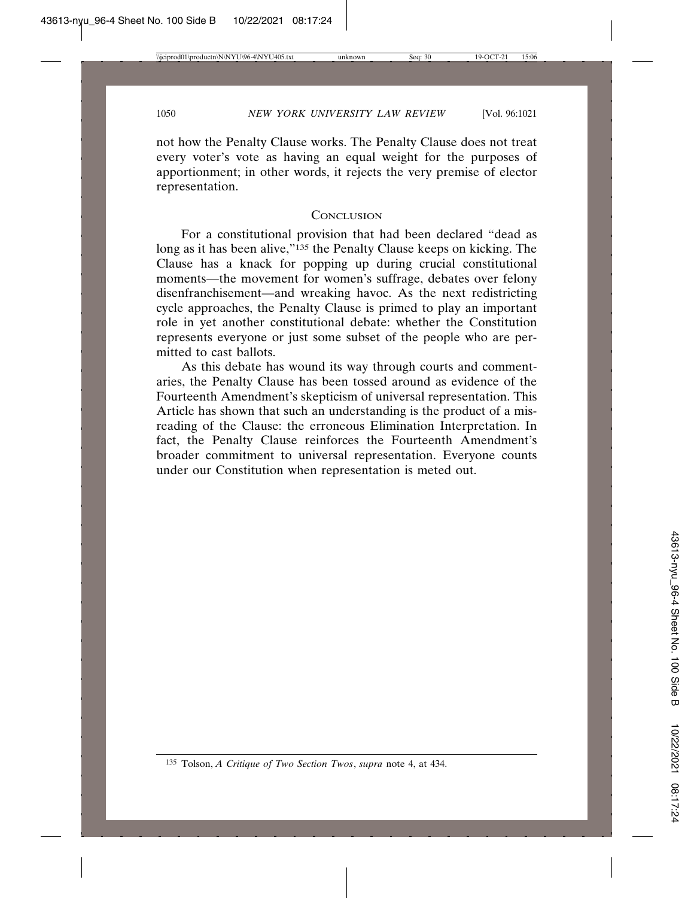not how the Penalty Clause works. The Penalty Clause does not treat every voter's vote as having an equal weight for the purposes of apportionment; in other words, it rejects the very premise of elector representation.

#### **CONCLUSION**

For a constitutional provision that had been declared "dead as long as it has been alive,"<sup>135</sup> the Penalty Clause keeps on kicking. The Clause has a knack for popping up during crucial constitutional moments—the movement for women's suffrage, debates over felony disenfranchisement—and wreaking havoc. As the next redistricting cycle approaches, the Penalty Clause is primed to play an important role in yet another constitutional debate: whether the Constitution represents everyone or just some subset of the people who are permitted to cast ballots.

As this debate has wound its way through courts and commentaries, the Penalty Clause has been tossed around as evidence of the Fourteenth Amendment's skepticism of universal representation. This Article has shown that such an understanding is the product of a misreading of the Clause: the erroneous Elimination Interpretation. In fact, the Penalty Clause reinforces the Fourteenth Amendment's broader commitment to universal representation. Everyone counts under our Constitution when representation is meted out.